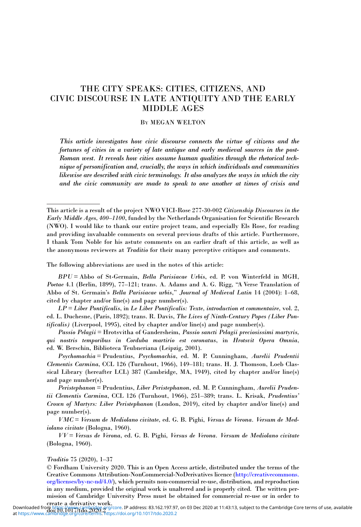# THE CITY SPEAKS: CITIES, CITIZENS, AND CIVIC DISCOURSE IN LATE ANTIQUITY AND THE EARLY MIDDLE AGES

## BY MEGAN WELTON

This article investigates how civic discourse connects the virtue of citizens and the fortunes of cities in a variety of late antique and early medieval sources in the post-Roman west. It reveals how cities assume human qualities through the rhetorical technique of personification and, crucially, the ways in which individuals and communities likewise are described with civic terminology. It also analyzes the ways in which the city and the civic community are made to speak to one another at times of crisis and

The following abbreviations are used in the notes of this article:

BPU = Abbo of St-Germain, Bella Parisiacae Urbis, ed. P. von Winterfeld in MGH, Poetae 4.1 (Berlin, 1899), 77–121; trans. A. Adams and A. G. Rigg, "A Verse Translation of Abbo of St. Germain's Bella Parisiacae urbis," Journal of Medieval Latin 14 (2004): 1–68, cited by chapter and/or line(s) and page number(s).

 $LP = Liber$  Pontificalis, in Le Liber Pontificalis: Texte, introduction et commentaire, vol. 2, ed. L. Duchesne, (Paris, 1892); trans. R. Davis, The Lives of Ninth-Century Popes (Liber Pontificalis) (Liverpool, 1995), cited by chapter and/or line(s) and page number(s).

Passio Pelagii = Hrotsvitha of Gandersheim, Passio sancti Pelagii preciosissimi martyris, qui nostris temporibus in Corduba martirio est coronatus, in Hrotsvit Opera Omnia, ed. W. Berschin, Biblioteca Teubneriana (Leipzig, 2001).

Psychomachia = Prudentius, Psychomachia, ed. M. P. Cunningham, Aurelii Prudentii Clementis Carmina, CCL 126 (Turnhout, 1966), 149–181; trans. H. J. Thomson, Loeb Classical Library (hereafter LCL) 387 (Cambridge, MA, 1949), cited by chapter and/or line(s) and page number(s).

Peristephanon = Prudentius, Liber Peristephanon, ed. M. P. Cunningham, Aurelii Prudentii Clementis Carmina, CCL 126 (Turnhout, 1966), 251–389; trans. L. Krisak, Prudentius' Crown of Martyrs: Liber Peristephanon (London, 2019), cited by chapter and/or line(s) and page number(s).

VMC = Versum de Mediolano civitate, ed. G. B. Pighi, Versus de Verona. Versum de Mediolano civitate (Bologna, 1960).

VV = Versus de Verona, ed. G. B. Pighi, Versus de Verona. Versum de Mediolano civitate (Bologna, 1960).

## Traditio 75 (2020), 1–37

© Fordham University 2020. This is an Open Access article, distributed under the terms of the Creative Commons Attribution-NonCommercial-NoDerivatives licence [\(http://creativecommons.](http://creativecommons.org/licenses/by-nc-nd/4.0/) [org/licenses/by-nc-nd/4.0/\)](http://creativecommons.org/licenses/by-nc-nd/4.0/), which permits non-commercial re-use, distribution, and reproduction in any medium, provided the original work is unaltered and is properly cited. The written permission of Cambridge University Press must be obtained for commercial re-use or in order to

This article is a result of the project NWO VICI-Rose 277-30-002 Citizenship Discourses in the Early Middle Ages, 400-1100, funded by the Netherlands Organisation for Scientific Research (NWO). I would like to thank our entire project team, and especially Els Rose, for reading and providing invaluable comments on several previous drafts of this article. Furthermore, I thank Tom Noble for his astute comments on an earlier draft of this article, as well as the anonymous reviewers at Traditio for their many perceptive critiques and comments.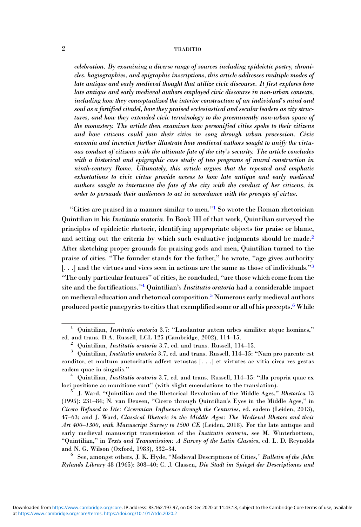celebration. By examining a diverse range of sources including epideictic poetry, chronicles, hagiographies, and epigraphic inscriptions, this article addresses multiple modes of late antique and early medieval thought that utilize civic discourse. It first explores how late antique and early medieval authors employed civic discourse in non-urban contexts, including how they conceptualized the interior construction of an individual's mind and soul as a fortified citadel, how they praised ecclesiastical and secular leaders as city structures, and how they extended civic terminology to the preeminently non-urban space of the monastery. The article then examines how personified cities spoke to their citizens and how citizens could join their cities in song through urban procession. Civic encomia and invective further illustrate how medieval authors sought to unify the virtuous conduct of citizens with the ultimate fate of the city's security. The article concludes with a historical and epigraphic case study of two programs of mural construction in ninth-century Rome. Ultimately, this article argues that the repeated and emphatic exhortations to civic virtue provide access to how late antique and early medieval authors sought to intertwine the fate of the city with the conduct of her citizens, in order to persuade their audiences to act in accordance with the precepts of virtue.

"Cities are praised in a manner similar to men."<sup>1</sup> So wrote the Roman rhetorician Quintilian in his Institutio oratoria. In Book III of that work, Quintilian surveyed the principles of epideictic rhetoric, identifying appropriate objects for praise or blame, and setting out the criteria by which such evaluative judgments should be made.<sup>2</sup> After sketching proper grounds for praising gods and men, Quintilian turned to the praise of cities. "The founder stands for the father," he wrote, "age gives authority [...] and the virtues and vices seen in actions are the same as those of individuals."<sup>3</sup> "The only particular features" of cities, he concluded, "are those which come from the site and the fortifications."<sup>4</sup> Quintilian's Institutio oratoria had a considerable impact on medieval education and rhetorical composition.5 Numerous early medieval authors produced poetic panegyrics to cities that exemplified some or all of his precepts.6While

Rylands Library 48 (1965): 308–40; C. J. Classen, Die Stadt im Spiegel der Descriptiones und

 $1$  Quintilian, Institutio oratoria 3.7: "Laudantur autem urbes similiter atque homines,"

ed. and trans. D.A. Russell, LCL 125 (Cambridge, 2002), 114–15.<br>
<sup>2</sup> Quintilian, *Institutio oratoria* 3.7, ed. and trans. Russell, 114–15.<br>
<sup>3</sup> Quintilian, *Institutio oratoria* 3.7, ed. and trans. Russell, 114–15: "Nam conditor, et multum auctoritatis adfert vetustas [. . .] et virtutes ac vitia circa res gestas eadem quae in singulis." <sup>4</sup> Quintilian, Institutio oratoria 3.7, ed. and trans. Russell, 114–15: "illa propria quae ex

loci positione ac munitione sunt" (with slight emendations to the translation). <sup>5</sup> J. Ward, "Quintilian and the Rhetorical Revolution of the Middle Ages," Rhetorica <sup>13</sup>

<sup>(1995): 231</sup>–84; N. van Deusen, "Cicero through Quintilian's Eyes in the Middle Ages," in Cicero Refused to Die: Ciceronian Influence through the Centuries, ed. eadem (Leiden, 2013), 47–63; and J. Ward, Classical Rhetoric in the Middle Ages: The Medieval Rhetors and their Art 400–1300, with Manuscript Survey to 1500 CE (Leiden, 2018). For the late antique and early medieval manuscript transmission of the Institutio oratoria, see M. Winterbottom, "Quintilian," in Texts and Transmission: A Survey of the Latin Classics, ed. L. D. Reynolds and N. G. Wilson (Oxford, 1983), 332–34.<br><sup>6</sup> See, amongst others, J. K. Hyde, "Medieval Descriptions of Cities," *Bulletin of the John*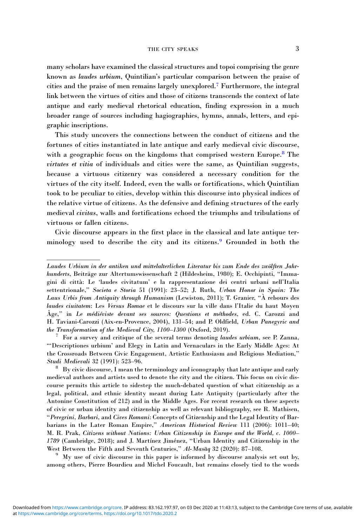many scholars have examined the classical structures and topoi comprising the genre known as laudes urbium, Quintilian's particular comparison between the praise of cities and the praise of men remains largely unexplored.7 Furthermore, the integral link between the virtues of cities and those of citizens transcends the context of late antique and early medieval rhetorical education, finding expression in a much broader range of sources including hagiographies, hymns, annals, letters, and epigraphic inscriptions.

This study uncovers the connections between the conduct of citizens and the fortunes of cities instantiated in late antique and early medieval civic discourse, with a geographic focus on the kingdoms that comprised western Europe.<sup>8</sup> The virtutes et vitia of individuals and cities were the same, as Quintilian suggests, because a virtuous citizenry was considered a necessary condition for the virtues of the city itself. Indeed, even the walls or fortifications, which Quintilian took to be peculiar to cities, develop within this discourse into physical indices of the relative virtue of citizens. As the defensive and defining structures of the early medieval civitas, walls and fortifications echoed the triumphs and tribulations of virtuous or fallen citizens.

Civic discourse appears in the first place in the classical and late antique terminology used to describe the city and its citizens.<sup>9</sup> Grounded in both the

 $9\,$  My use of civic discourse in this paper is informed by discourse analysis set out by, among others, Pierre Bourdieu and Michel Foucault, but remains closely tied to the words

Laudes Urbium in der antiken und mittelalterlichen Literatur bis zum Ende des zwölften Jahrhunderts, Beiträge zur Altertumswissenschaft 2 (Hildesheim, 1980); E. Occhipinti, "Immagini di città: Le 'laudes civitatum' e la rappresentazione dei centri urbani nell'Italia settentrionale," Societa e Storia 51 (1991): 23–52; J. Ruth, Urban Honor in Spain: The Laus Urbis from Antiquity through Humanism (Lewiston, 2011); T. Granier, "À rebours des laudes ciuitatem: Les Versus Romae et le discours sur la ville dans l'Italie du haut Moyen Âge," in Le médiéviste devant ses sources: Questions et méthodes, ed. C. Carozzi and H. Taviani-Carozzi (Aix-en-Provence, 2004), 131-54; and P. Oldfield, Urban Panegyric and the Transformation of the Medieval City, 1100-1300 (Oxford, 2019).

 $T$  For a survey and critique of the several terms denoting laudes urbium, see P. Zanna, "'Descriptiones urbium' and Elegy in Latin and Vernaculars in the Early Middle Ages: At the Crossroads Between Civic Engagement, Artistic Enthusiasm and Religious Mediation,"<br>*Studi Medievali* 32 (1991): 523–96.

 $8\sigma$  By civic discourse, I mean the terminology and iconography that late antique and early medieval authors and artists used to denote the city and the citizen. This focus on civic discourse permits this article to sidestep the much-debated question of what citizenship as a legal, political, and ethnic identity meant during Late Antiquity (particularly after the Antonine Constitution of 212) and in the Middle Ages. For recent research on these aspects of civic or urban identity and citizenship as well as relevant bibliography, see R. Mathisen, "Peregrini, Barbari, and Cives Romani: Concepts of Citizenship and the Legal Identity of Barbarians in the Later Roman Empire," American Historical Review 111 (2006): 1011–40; M. R. Prak, Citizens without Nations: Urban Citizenship in Europe and the World, c. 1000– 1789 (Cambridge, 2018); and J. Martínez Jiménez, "Urban Identity and Citizenship in the West Between the Fifth and Seventh Centuries," Al-Masaq 32 (2020): 87-108.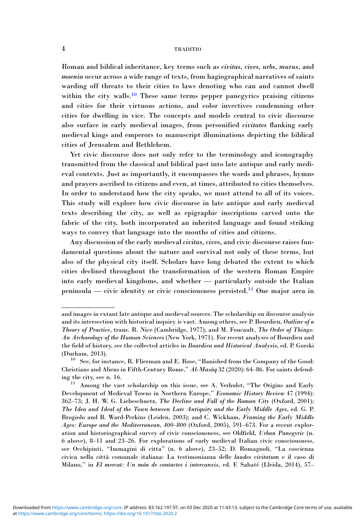Roman and biblical inheritance, key terms such as civitas, cives, urbs, murus, and moenia occur across a wide range of texts, from hagiographical narratives of saints warding off threats to their cities to laws denoting who can and cannot dwell within the city walls.<sup>10</sup> These same terms pepper panegyrics praising citizens and cities for their virtuous actions, and color invectives condemning other cities for dwelling in vice. The concepts and models central to civic discourse also surface in early medieval images, from personified civitates flanking early medieval kings and emperors to manuscript illuminations depicting the biblical cities of Jerusalem and Bethlehem.

Yet civic discourse does not only refer to the terminology and iconography transmitted from the classical and biblical past into late antique and early medieval contexts. Just as importantly, it encompasses the words and phrases, hymns and prayers ascribed to citizens and even, at times, attributed to cities themselves. In order to understand how the city speaks, we must attend to all of its voices. This study will explore how civic discourse in late antique and early medieval texts describing the city, as well as epigraphic inscriptions carved onto the fabric of the city, both incorporated an inherited language and found striking ways to convey that language into the mouths of cities and citizens.

Any discussion of the early medieval civitas, cives, and civic discourse raises fundamental questions about the nature and survival not only of these terms, but also of the physical city itself. Scholars have long debated the extent to which cities declined throughout the transformation of the western Roman Empire into early medieval kingdoms, and whether — particularly outside the Italian peninsula — civic identity or civic consciousness persisted.<sup>11</sup> One major area in

and images in extant late antique and medieval sources. The scholarship on discourse analysis and its intersection with historical inquiry is vast. Among others, see P. Bourdieu, Outline of a Theory of Practice, trans. R. Nice (Cambridge, 1977); and M. Foucault, The Order of Things: An Archaeology of the Human Sciences (New York, 1971). For recent analyses of Bourdieu and the field of history, see the collected articles in Bourdieu and Historical Analysis, ed. P. Gorski (Durham, 2013). <sup>10</sup> See, for instance, R. Flierman and E. Rose, "Banished from the Company of the Good:

Christians and Aliens in Fifth-Century Rome,"  $Al\text{-}Mas\bar a q$  32 (2020): 64–86. For saints defend-

ing the city, see n. 16. <sup>11</sup> Among the vast scholarship on this issue, see A. Verhulst, "The Origins and Early Development of Medieval Towns in Northern Europe," Economic History Review 47 (1994): 362–73; J. H. W. G. Liebeschuetz, The Decline and Fall of the Roman City (Oxford, 2001); The Idea and Ideal of the Town between Late Antiquity and the Early Middle Ages, ed. G. P. Brogiolo and B. Ward-Perkins (Leiden, 2003); and C. Wickham, Framing the Early Middle Ages: Europe and the Mediterranean, 400–800 (Oxford, 2005), 591–673. For a recent exploration and historiographical survey of civic consciousness, see Oldfield, Urban Panegyric (n. 6 above), 8–11 and 23–26. For explorations of early medieval Italian civic consciousness, see Occhipinti, "Immagini di citta" (n. 6 above), 23–52; D. Romagnoli, "La coscienza civica nella città comunale italiana: La testimonianza delle laudes civitatum e il caso di Milano," in El mercat: Un món de contactes i intercanvis, ed. F. Sabaté (Lleida, 2014), 57–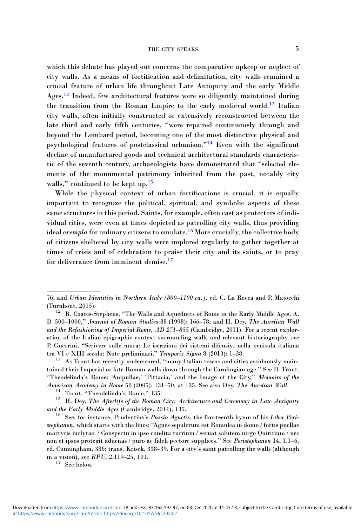which this debate has played out concerns the comparative upkeep or neglect of city walls. As a means of fortification and delimitation, city walls remained a crucial feature of urban life throughout Late Antiquity and the early Middle Ages.<sup>12</sup> Indeed, few architectural features were so diligently maintained during the transition from the Roman Empire to the early medieval world.<sup>13</sup> Italian city walls, often initially constructed or extensively reconstructed between the late third and early fifth centuries, "were repaired continuously through and beyond the Lombard period, becoming one of the most distinctive physical and psychological features of postclassical urbanism."<sup>14</sup> Even with the significant decline of manufactured goods and technical architectural standards characteristic of the seventh century, archaeologists have demonstrated that "selected elements of the monumental patrimony inherited from the past, notably city walls," continued to be kept up.<sup>15</sup>

While the physical context of urban fortifications is crucial, it is equally important to recognize the political, spiritual, and symbolic aspects of these same structures in this period. Saints, for example, often cast as protectors of individual cities, were even at times depicted as patrolling city walls, thus providing ideal *exempla* for ordinary citizens to emulate.<sup>16</sup> More crucially, the collective body of citizens sheltered by city walls were implored regularly to gather together at times of crisis and of celebration to praise their city and its saints, or to pray for deliverance from imminent demise.<sup>17</sup>

<sup>76;</sup> and Urban Identities in Northern Italy (800–1100 ca.), ed. C. La Rocca and P. Majocchi (Turnhout, 2015).  $12$  R. Coates-Stephens, "The Walls and Aqueducts of Rome in the Early Middle Ages, A.

D. 500–1000," Journal of Roman Studies 88 (1998): 166–78; and H. Dey, The Aurelian Wall and the Refashioning of Imperial Rome, AD 271–855 (Cambridge, 2011). For a recent exploration of the Italian epigraphic context surrounding walls and relevant historiography, see P. Guerrini, "Scrivere sulle mura: Le iscrizioni dei sistemi difensivi nella penisola italiana<br>tra VI e XIII secolo: Note preliminari," Temporis Signa 8 (2013): 1-38.

 $t<sup>13</sup>$  As Trout has recently underscored, "many Italian towns and cities assiduously maintained their Imperial or late Roman walls down through the Carolingian age." See D. Trout, "Theodelinda's Rome: 'Ampullae,' 'Pittacia,' and the Image of the City," Memoirs of the

American Academy in Rome 50 (2005): 131–50, at 135. See also Dey, The Aurelian Wall.<br><sup>14</sup> Trout, "Theodelinda's Rome," 135.<br><sup>15</sup> H. Dey, The Afterlife of the Roman City: Architecture and Ceremony in Late Antiquity<br>and the

 $16$  See, for instance, Prudentius's Passio Agnetis, the fourteenth hymn of his Liber Peristephanon, which starts with the lines: "Agnes sepulcrum est Romulea in domo / fortis puellae martyris inclytae. / Conspectu in ipso condita turrium / seruat salutem uirgo Quiritium / nec non et ipsos protegit aduenas / puro ac fideli pectore supplices." See Peristephanon 14, 1.1–6, ed. Cunningham, 386; trans. Krisek, 338–39. For a city's saint patrolling the walls (although in a vision), see  $BPU$ , 2.119–25, 101.<br><sup>17</sup> See below.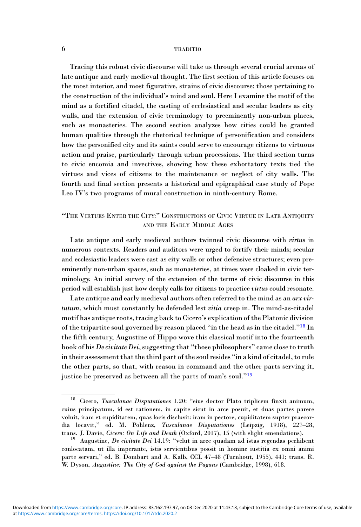Tracing this robust civic discourse will take us through several crucial arenas of late antique and early medieval thought. The first section of this article focuses on the most interior, and most figurative, strains of civic discourse: those pertaining to the construction of the individual's mind and soul. Here I examine the motif of the mind as a fortified citadel, the casting of ecclesiastical and secular leaders as city walls, and the extension of civic terminology to preeminently non-urban places, such as monasteries. The second section analyzes how cities could be granted human qualities through the rhetorical technique of personification and considers how the personified city and its saints could serve to encourage citizens to virtuous action and praise, particularly through urban processions. The third section turns to civic encomia and invectives, showing how these exhortatory texts tied the virtues and vices of citizens to the maintenance or neglect of city walls. The fourth and final section presents a historical and epigraphical case study of Pope Leo IV's two programs of mural construction in ninth-century Rome.

# "THE VIRTUES ENTER THE CITY:" CONSTRUCTIONS OF CIVIC VIRTUE IN LATE ANTIQUITY AND THE EARLY MIDDLE AGES

Late antique and early medieval authors twinned civic discourse with virtus in numerous contexts. Readers and auditors were urged to fortify their minds; secular and ecclesiastic leaders were cast as city walls or other defensive structures; even preeminently non-urban spaces, such as monasteries, at times were cloaked in civic terminology. An initial survey of the extension of the terms of civic discourse in this period will establish just how deeply calls for citizens to practice virtus could resonate.

Late antique and early medieval authors often referred to the mind as an arx virtutum, which must constantly be defended lest vitia creep in. The mind-as-citadel motif has antique roots, tracing back to Cicero's explication of the Platonic division of the tripartite soul governed by reason placed "in the head as in the citadel."<sup>18</sup> In the fifth century, Augustine of Hippo wove this classical motif into the fourteenth book of his De civitate Dei, suggesting that "those philosophers" came close to truth in their assessment that the third part of the soul resides "in a kind of citadel, to rule the other parts, so that, with reason in command and the other parts serving it, justice be preserved as between all the parts of man's soul."<sup>19</sup>

<sup>&</sup>lt;sup>18</sup> Cicero, Tusculanae Disputationes 1.20: "eius doctor Plato triplicem finxit animum, cuius principatum, id est rationem, in capite sicut in arce posuit, et duas partes parere voluit, iram et cupiditatem, quas locis disclusit: iram in pectore, cupiditatem supter praecordia locavit," ed. M. Pohlenz, Tusculanae Disputationes (Leipzig, 1918), 227–28, trans. J. Davie, Cicero: On Life and Death (Oxford, 2017), 15 (with slight emendations). <sup>19</sup> Augustine, De civitate Dei 14.19: "velut in arce quadam ad istas regendas perhibent

conlocatam, ut illa imperante, istis servientibus possit in homine iustitia ex omni animi parte servari," ed. B. Dombart and A. Kalb, CCL 47–48 (Turnhout, 1955), 441; trans. R. W. Dyson, Augustine: The City of God against the Pagans (Cambridge, 1998), 618.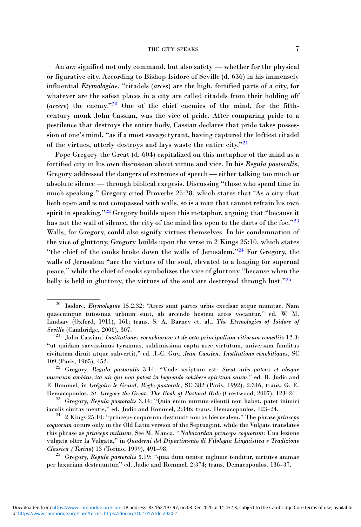An arx signified not only command, but also safety — whether for the physical or figurative city. According to Bishop Isidore of Seville (d. 636) in his immensely influential Etymologiae, "citadels (arces) are the high, fortified parts of a city, for whatever are the safest places in a city are called citadels from their holding off (arcere) the enemy."<sup>20</sup> One of the chief enemies of the mind, for the fifthcentury monk John Cassian, was the vice of pride. After comparing pride to a pestilence that destroys the entire body, Cassian declares that pride takes possession of one's mind, "as if a most savage tyrant, having captured the loftiest citadel of the virtues, utterly destroys and lays waste the entire city."<sup>21</sup>

Pope Gregory the Great (d. 604) capitalized on this metaphor of the mind as a fortified city in his own discussion about virtue and vice. In his Regula pastoralis, Gregory addressed the dangers of extremes of speech — either talking too much or absolute silence — through biblical exegesis. Discussing "those who spend time in much speaking," Gregory cited Proverbs 25:28, which states that "As a city that lieth open and is not compassed with walls, so is a man that cannot refrain his own spirit in speaking."<sup>22</sup> Gregory builds upon this metaphor, arguing that "because it has not the wall of silence, the city of the mind lies open to the darts of the foe."23 Walls, for Gregory, could also signify virtues themselves. In his condemnation of the vice of gluttony, Gregory builds upon the verse in 2 Kings 25:10, which states "the chief of the cooks broke down the walls of Jerusalem."<sup>24</sup> For Gregory, the walls of Jerusalem "are the virtues of the soul, elevated to a longing for supernal peace," while the chief of cooks symbolizes the vice of gluttony "because when the belly is held in gluttony, the virtues of the soul are destroyed through lust."<sup>25</sup>

 $^{25}$  Gregory, Regula pastoralis 3.19: "quia dum uenter ingluuie tenditur, uirtutes animae per luxuriam destruuntur," ed. Judic and Rommel, 2:374; trans. Demacopoulos, 136–37.

<sup>20</sup> Isidore, Etymologiae 15.2.32: "Arces sunt partes urbis excelsae atque munitae. Nam quaecumque tutissima urbium sunt, ab arcendo hostem arces vocantur," ed. W. M. Lindsay (Oxford, 1911), 161; trans. S. A. Barney et. al., The Etymologies of Isidore of Seville (Cambridge, 2006), 307. <sup>21</sup> John Cassian, Institutiones coenobiorum et de octo principalium vitiorum remediis 12.3:

<sup>&</sup>quot;ut quidam saevissimus tyrannus, sublimissima capta arce virtutum, universam funditus civitatem diruit atque subvertit," ed. J.-C. Guy, Jean Cassien, Institutions cénobitiques, SC 109 (Paris, 1965), 452. <sup>22</sup> Gregory, Regula pastoralis 3.14: "Vnde scriptum est: Sicut urbs patens et absque

murorum ambitu, ita uir qui non potest in loquendo cohibere spiritum suum," ed. B. Judic and F. Rommel, in Grégoire le Grand, Règle pastorale, SC 382 (Paris, 1992), 2:346; trans. G. E. Demacopoulos, St. Gregory the Great: The Book of Pastoral Rule (Crestwood, 2007), 123–24.<br><sup>23</sup> Gregory, Regula pastoralis 3.14: "Quia enim murum silentii non habet, patet inimici

iaculis ciuitas mentis," ed. Judic and Rommel, 2:346; trans. Demacopoulos, 123–24.<br><sup>24</sup> 2 Kings 25:10: "princeps coquorum destruxit muros hierusalem." The phrase *princeps* 

coquorum occurs only in the Old Latin version of the Septuagint, while the Vulgate translates this phrase as *princeps militum*. See M. Manca, "Nabuzardan princeps coquorum: Una lezione vulgata oltre la Vulgata," in Quaderni del Dipartimento di Filologia Linguistica e Tradizione<br>Classica (Torino) 13 (Torino, 1999), 491–98.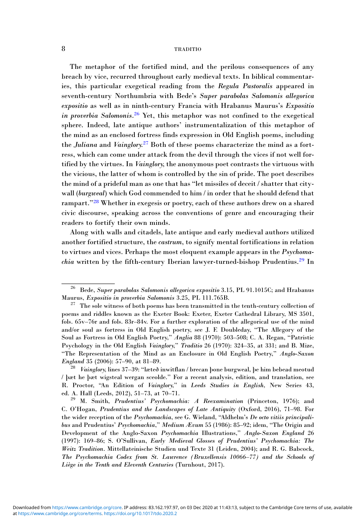The metaphor of the fortified mind, and the perilous consequences of any breach by vice, recurred throughout early medieval texts. In biblical commentaries, this particular exegetical reading from the Regula Pastoralis appeared in seventh-century Northumbria with Bede's Super parabolas Salomonis allegorica expositio as well as in ninth-century Francia with Hrabanus Maurus's Expositio in proverbia Salomonis.<sup>26</sup> Yet, this metaphor was not confined to the exegetical sphere. Indeed, late antique authors' instrumentalization of this metaphor of the mind as an enclosed fortress finds expression in Old English poems, including the Juliana and Vainglory.<sup>27</sup> Both of these poems characterize the mind as a fortress, which can come under attack from the devil through the vices if not well fortified by the virtues. In Vainglory, the anonymous poet contrasts the virtuous with the vicious, the latter of whom is controlled by the sin of pride. The poet describes the mind of a prideful man as one that has "let missiles of deceit / shatter that citywall (burgweal) which God commended to him / in order that he should defend that rampart."<sup>28</sup> Whether in exegesis or poetry, each of these authors drew on a shared civic discourse, speaking across the conventions of genre and encouraging their readers to fortify their own minds.

Along with walls and citadels, late antique and early medieval authors utilized another fortified structure, the castrum, to signify mental fortifications in relation to virtues and vices. Perhaps the most eloquent example appears in the Psychomachia written by the fifth-century Iberian lawyer-turned-bishop Prudentius.<sup>29</sup> In

<sup>&</sup>lt;sup>26</sup> Bede, *Super parabolas Salomonis allegorica expositio* 3.15, PL 91.1015C; and Hrabanus Maurus, *Expositio in proverbia Salomonis* 3.25, PL 111.765B.

 $27$  The sole witness of both poems has been transmitted in the tenth-century collection of poems and riddles known as the Exeter Book: Exeter, Exeter Cathedral Library, MS 3501, fols. 65v–76r and fols. 83r–84v. For a further exploration of the allegorical use of the mind and/or soul as fortress in Old English poetry, see J. F. Doubleday, "The Allegory of the Soul as Fortress in Old English Poetry," Anglia 88 (1970): 503–508; C. A. Regan, "Patristic Psychology in the Old English Vainglory," Traditio 26 (1970): 324–35, at 331; and B. Mize, "The Representation of the Mind as an Enclosure in Old English Poetry," Anglo-Saxon<br>England 35 (2006): 57–90, at 81–89.

 $\frac{28}{28}$  Vainglory, lines 37–39: "læteð inwitflan / brecan þone burgweal, þe him bebead meotud / þæt he þæt wigsteal wergan sceolde." For a recent analysis, edition, and translation, see R. Proctor, "An Edition of Vainglory," in Leeds Studies in English, New Series 43, ed. A. Hall (Leeds, 2012), 51–73, at 70–71. <sup>29</sup> M. Smith, Prudentius' Psychomachia: A Reexamination (Princeton, 1976); and

C. O'Hogan, Prudentius and the Landscapes of Late Antiquity (Oxford, 2016), 71–98. For the wider reception of the Psychomachia, see G. Wieland, "Aldhelm's De octo vitiis principalibus and Prudentius' Psychomachia," Medium Ævum 55 (1986): 85–92; idem, "The Origin and Development of the Anglo-Saxon Psychomachia Illustrations," Anglo-Saxon England 26 (1997): 169–86; S. O'Sullivan, Early Medieval Glosses of Prudentius' Psychomachia: The Weitz Tradition. Mittellateinische Studien und Texte 31 (Leiden, 2004); and R. G. Babcock, The Psychomachia Codex from St. Lawrence (Bruxellensis 10066–77) and the Schools of Liège in the Tenth and Eleventh Centuries (Turnhout, 2017).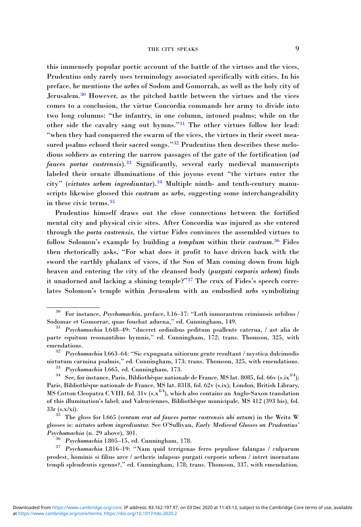this immensely popular poetic account of the battle of the virtues and the vices, Prudentius only rarely uses terminology associated specifically with cities. In his preface, he mentions the urbes of Sodom and Gomorrah, as well as the holy city of Jerusalem.<sup>30</sup> However, as the pitched battle between the virtues and the vices comes to a conclusion, the virtue Concordia commands her army to divide into two long columns: "the infantry, in one column, intoned psalms; while on the other side the cavalry sang out hymns."<sup>31</sup> The other virtues follow her lead: "when they had conquered the swarm of the vices, the virtues in their sweet measured psalms echoed their sacred songs."<sup>32</sup> Prudentius then describes these melodious soldiers as entering the narrow passages of the gate of the fortification (ad fauces portae castrensis).<sup>33</sup> Significantly, several early medieval manuscripts labeled their ornate illuminations of this joyous event "the virtues enter the city" (virtutes urbem ingrediuntur).<sup>34</sup> Multiple ninth- and tenth-century manuscripts likewise glossed this *castrum* as *urbs*, suggesting some interchangeability in these civic terms.<sup>35</sup>

Prudentius himself draws out the close connections between the fortified mental city and physical civic sites. After Concordia was injured as she entered through the porta castrensis, the virtue Fides convinces the assembled virtues to follow Solomon's example by building a templum within their castrum.<sup>36</sup> Fides then rhetorically asks, "For what does it profit to have driven back with the sword the earthly phalanx of vices, if the Son of Man coming down from high heaven and entering the city of the cleansed body (purgati corporis urbem) finds it unadorned and lacking a shining temple?"<sup>37</sup> The crux of Fides's speech correlates Solomon's temple within Jerusalem with an embodied urbs symbolizing

 $30$  For instance, *Psychomachia*, preface, l.16–17: "Loth inmorantem criminosis urbibus /

Sodomae et Gomorrae, quas fouebat aduena," ed. Cunningham, 149. <sup>31</sup> Psychomachia l.648–49: "duceret ordinibus peditum psallente caterua, / ast alia de parte equitum resonantibus hymnis," ed. Cunningham, 172; trans. Thomson, 325, with

emendations.<br><sup>32</sup> *Psychomachia* l.663–64: "Sic expugnata uitiorum gente resultant / mystica dulcimodis<br>uirtutum carmina psalmis," ed. Cunningham, 173; trans. Thomson, 325, with emendations.

<sup>&</sup>lt;sup>33</sup> Psychomachia 1.665, ed. Cunningham, 173.<br><sup>34</sup> See, for instance, Paris, Bibliothèque nationale de France, MS lat. 8085, fol. 66v (s.ix<sup>3/4</sup>); Paris, Bibliothèque nationale de France, MS lat. 8318, fol. 62v (s.ix); London, British Library, MS Cotton Cleopatra C VIII, fol. 31v (s.x<sup>4/4</sup>), which also contains an Anglo-Saxon translation of this illumination's label; and Valenciennes, Bibliothèque municipale, MS 412 (393 bis), fol.

 $33r$  (s.x/xi).<br><sup>35</sup> The gloss for l.665 (*ventum erat ad fauces portae castrensis ubi artum*) in the Weitz W glosses is: uirtutes urbem ingrediuntur. See O'Sullivan, Early Medieval Glosses on Prudentius'

Psychomachia (n. 29 above), 301. <sup>36</sup> Psychomachia l.805–15, ed. Cunningham, 178. <sup>37</sup> Psychomachia l.816–19: "Nam quid terrigenas ferro pepulisse falangas / culparum prodest, hominis si filius arce / aetheris inlapsus purgati corporis urbem / intret inornatam templi splendentis egenus?," ed. Cunningham, 178; trans. Thomson, 337, with emendation.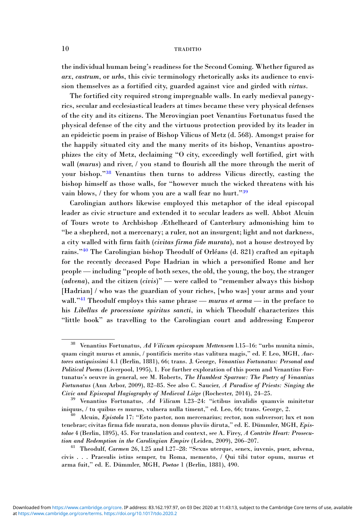the individual human being's readiness for the Second Coming. Whether figured as arx, castrum, or urbs, this civic terminology rhetorically asks its audience to envision themselves as a fortified city, guarded against vice and girded with virtus.

The fortified city required strong impregnable walls. In early medieval panegyrics, secular and ecclesiastical leaders at times became these very physical defenses of the city and its citizens. The Merovingian poet Venantius Fortunatus fused the physical defense of the city and the virtuous protection provided by its leader in an epideictic poem in praise of Bishop Vilicus of Metz (d. 568). Amongst praise for the happily situated city and the many merits of its bishop, Venantius apostrophizes the city of Metz, declaiming "O city, exceedingly well fortified, girt with wall (murus) and river, / you stand to flourish all the more through the merit of your bishop."<sup>38</sup> Venantius then turns to address Vilicus directly, casting the bishop himself as those walls, for "however much the wicked threatens with his vain blows, / they for whom you are a wall fear no hurt."<sup>39</sup>

Carolingian authors likewise employed this metaphor of the ideal episcopal leader as civic structure and extended it to secular leaders as well. Abbot Alcuin of Tours wrote to Archbishop Æthelheard of Canterbury admonishing him to "be a shepherd, not a mercenary; a ruler, not an insurgent; light and not darkness, a city walled with firm faith (civitas firma fide murata), not a house destroyed by rains."<sup>40</sup> The Carolingian bishop Theodulf of Orléans (d. 821) crafted an epitaph for the recently deceased Pope Hadrian in which a personified Rome and her people — including "people of both sexes, the old, the young, the boy, the stranger (advena), and the citizen (civis)" — were called to "remember always this bishop [Hadrian] / who was the guardian of your riches, [who was] your arms and your wall."<sup>41</sup> Theodulf employs this same phrase — murus et arma — in the preface to his Libellus de processione spiritus sancti, in which Theodulf characterizes this "little book" as travelling to the Carolingian court and addressing Emperor

 $38$  Venantius Fortunatus, Ad Vilicum episcopum Mettensem l.15-16: "urbs munita nimis, quam cingit murus et amnis, / pontificis merito stas valitura magis," ed. F. Leo, MGH, Auctores antiquissimi 4.1 (Berlin, 1881), 66; trans. J. George, Venantius Fortunatus: Personal and Political Poems (Liverpool, 1995), 1. For further exploration of this poem and Venantius Fortunatus's oeuvre in general, see M. Roberts, The Humblest Sparrow: The Poetry of Venantius Fortunatus (Ann Arbor, 2009), 82–85. See also C. Saucier, A Paradise of Priests: Singing the Civic and Episcopal Hagiography of Medieval Liège (Rochester, 2014), 24–25. <sup>39</sup> Venantius Fortunatus, Ad Vilicum l.23–24: "ictibus invalidis quamvis minitetur

iniquus, / tu quibus es murus, vulnera nulla timent," ed. Leo, 66; trans. George, 2. <sup>40</sup> Alcuin, Epistola 17: "Esto pastor, non mercenarius; rector, non subversor; lux et non

tenebrae; civitas firma fide murata, non domus pluviis diruta," ed. E. Dümmler, MGH, Epistolae 4 (Berlin, 1895), 45. For translation and context, see A. Firey, A Contrite Heart: Prosecution and Redemption in the Carolingian Empire (Leiden, 2009), 206–207. <sup>41</sup> Theodulf, Carmen 26, l.25 and l.27–28: "Sexus uterque, senex, iuvenis, puer, advena,

civis . . . Praesulis istius semper, tu Roma, memento, / Qui tibi tutor opum, murus et arma fuit," ed. E. Dümmler, MGH, Poetae 1 (Berlin, 1881), 490.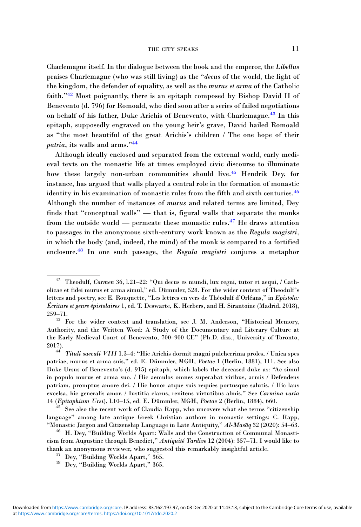Charlemagne itself. In the dialogue between the book and the emperor, the Libellus praises Charlemagne (who was still living) as the "decus of the world, the light of the kingdom, the defender of equality, as well as the murus et arma of the Catholic faith."<sup>42</sup> Most poignantly, there is an epitaph composed by Bishop David II of Benevento (d. 796) for Romoald, who died soon after a series of failed negotiations on behalf of his father, Duke Arichis of Benevento, with Charlemagne.<sup>43</sup> In this epitaph, supposedly engraved on the young heir's grave, David hailed Romoald as "the most beautiful of the great Arichis's children / The one hope of their patria, its walls and arms."<sup>44</sup>

Although ideally enclosed and separated from the external world, early medieval texts on the monastic life at times employed civic discourse to illuminate how these largely non-urban communities should live.<sup>45</sup> Hendrik Dev, for instance, has argued that walls played a central role in the formation of monastic identity in his examination of monastic rules from the fifth and sixth centuries.46 Although the number of instances of murus and related terms are limited, Dey finds that "conceptual walls" — that is, figural walls that separate the monks from the outside world — permeate these monastic rules.<sup>47</sup> He draws attention to passages in the anonymous sixth-century work known as the Regula magistri, in which the body (and, indeed, the mind) of the monk is compared to a fortified enclosure.48 In one such passage, the Regula magistri conjures a metaphor

 $^{42}\;$  Theodulf,  $Carmen$ 36, l.21–22: "Qui decus es mundi, lux regni, tutor et aequi, / Catholicae et fidei murus et arma simul," ed. Dümmler, 528. For the wider context of Theodulf's letters and poetry, see E. Rouquette, "Les lettres en vers de Théodulf d'Orléans," in Epistola: Écriture et genre épistolaires 1, ed. T. Deswarte, K. Herbers, and H. Sirantoine (Madrid, 2018), 259–71.

<sup>43</sup> For the wider context and translation, see J. M. Anderson, "Historical Memory, Authority, and the Written Word: A Study of the Documentary and Literary Culture at the Early Medieval Court of Benevento, 700–900 CE" (Ph.D. diss., University of Toronto, 2017). <sup>44</sup> Tituli saeculi VIII 1.3–4: "Hic Arichis dormit magni pulcherrima proles, / Unica spes

patriae, murus et arma suis," ed. E. Dümmler, MGH, Poetae 1 (Berlin, 1881), 111. See also Duke Ursus of Benevento's (d. 915) epitaph, which labels the deceased duke as: "Ac simul in populo murus et arma suo. / Hic aemulos omnes superabat viribus, armis / Defendens patriam, promptus amore dei. / Hic honor atque suis requies portusque salutis. / Hic laus excelsa, hic generalis amor. / Iustitia clarus, renitens virtutibus almis." See Carmina varia 14 (Epitaphium Ursi), l.10–15, ed. E. Dümmler, MGH, Poetae 2 (Berlin, 1884), 660. <sup>45</sup> See also the recent work of Claudia Rapp, who uncovers what she terms "citizenship

language" among late antique Greek Christian authors in monastic settings: C. Rapp, "Monastic Jargon and Citizenship Language in Late Antiquity," Al-Masaq 32 (2020): 54-63.

<sup>&</sup>lt;sup>46</sup> H. Dey, "Building Worlds Apart: Walls and the Construction of Communal Monasticism from Augustine through Benedict," Antiquité Tardive 12 (2004): 357–71. I would like to thank an anonymous reviewer, who suggested this remarkably insightful article. <sup>47</sup> Dey, "Building Worlds Apart," 365. <sup>48</sup> Dey, "Building Worlds Apart," 365.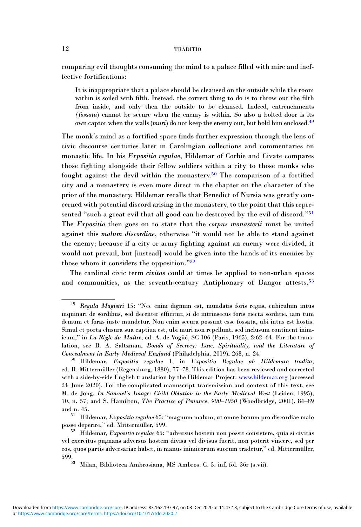comparing evil thoughts consuming the mind to a palace filled with mire and ineffective fortifications:

It is inappropriate that a palace should be cleansed on the outside while the room within is soiled with filth. Instead, the correct thing to do is to throw out the filth from inside, and only then the outside to be cleansed. Indeed, entrenchments (fossata) cannot be secure when the enemy is within. So also a bolted door is its own captor when the walls (muri) do not keep the enemy out, but hold him enclosed.<sup>49</sup>

The monk's mind as a fortified space finds further expression through the lens of civic discourse centuries later in Carolingian collections and commentaries on monastic life. In his Expositio regulae, Hildemar of Corbie and Civate compares those fighting alongside their fellow soldiers within a city to those monks who fought against the devil within the monastery.<sup>50</sup> The comparison of a fortified city and a monastery is even more direct in the chapter on the character of the prior of the monastery. Hildemar recalls that Benedict of Nursia was greatly concerned with potential discord arising in the monastery, to the point that this represented "such a great evil that all good can be destroyed by the evil of discord."<sup>51</sup> The Expositio then goes on to state that the corpus monasterii must be united against this malum discordiae, otherwise "it would not be able to stand against the enemy; because if a city or army fighting against an enemy were divided, it would not prevail, but [instead] would be given into the hands of its enemies by those whom it considers the opposition."<sup>52</sup>

The cardinal civic term civitas could at times be applied to non-urban spaces and communities, as the seventh-century Antiphonary of Bangor attests.<sup>53</sup>

<sup>49</sup> Regula Magistri 15: "Nec enim dignum est, mundatis foris regiis, cubiculum intus inquinari de sordibus, sed decenter efficitur, si de intrinsecus foris eiecta sorditie, iam tum demum et foras iuste mundetur. Non enim secura possunt esse fossata, ubi intus est hostis. Simul et porta clusura sua captiua est, ubi muri non repellunt, sed inclusum continent inimicum," in La Règle du Maître, ed. A. de Vogüé, SC 106 (Paris, 1965), 2:62–64. For the translation, see B. A. Saltzman, Bonds of Secrecy: Law, Spirituality, and the Literature of Concealment in Early Medieval England (Philadelphia, 2019), 268, n. 24.

 $^{50}$  Hildemar, Expositio regulae 1, in Expositio Regulae ab Hildemaro tradita, ed. R. Mittermüller (Regensburg, 1880), 77–78. This edition has been reviewed and corrected with a side-by-side English translation by the Hildemar Project: [www.hildemar.org](https://www.hildemar.org) (accessed 24 June 2020). For the complicated manuscript transmission and context of this text, see M. de Jong, In Samuel's Image: Child Oblation in the Early Medieval West (Leiden, 1995), 70, n. 57; and S. Hamilton, The Practice of Penance, 900–1050 (Woodbridge, 2001), 84–89

and n. 45.<br><sup>51</sup> Hildemar, *Expositio regulae* 65: "magnum malum, ut omne bonum pro discordiae malo<br>posse deperire," ed. Mittermüller, 599.

 $52$  Hildemar, Expositio regulae 65: "adversus hostem non possit consistere, quia si civitas vel exercitus pugnans adversus hostem divisa vel divisus fuerit, non poterit vincere, sed per eos, quos partis adversariae habet, in manus inimicorum suorum tradetur," ed. Mittermüller, 599.53 Milan, Biblioteca Ambrosiana, MS Ambros. C. 5. inf, fol. 36r (s.vii).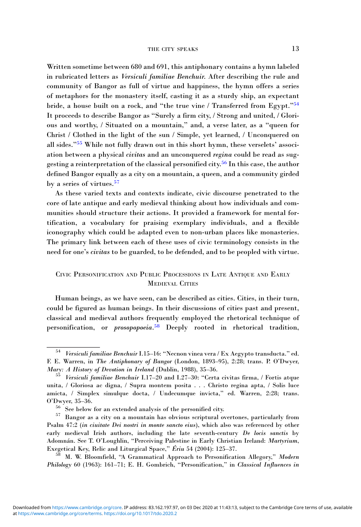Written sometime between 680 and 691, this antiphonary contains a hymn labeled in rubricated letters as Versiculi familiae Benchuir. After describing the rule and community of Bangor as full of virtue and happiness, the hymn offers a series of metaphors for the monastery itself, casting it as a sturdy ship, an expectant bride, a house built on a rock, and "the true vine / Transferred from Egypt."<sup>54</sup> It proceeds to describe Bangor as "Surely a firm city, / Strong and united, / Glorious and worthy, / Situated on a mountain," and, a verse later, as a "queen for Christ / Clothed in the light of the sun / Simple, yet learned, / Unconquered on all sides."<sup>55</sup> While not fully drawn out in this short hymn, these verselets' association between a physical *civitas* and an unconquered *regina* could be read as suggesting a reinterpretation of the classical personified city.<sup>56</sup> In this case, the author defined Bangor equally as a city on a mountain, a queen, and a community girded by a series of virtues.<sup>57</sup>

As these varied texts and contexts indicate, civic discourse penetrated to the core of late antique and early medieval thinking about how individuals and communities should structure their actions. It provided a framework for mental fortification, a vocabulary for praising exemplary individuals, and a flexible iconography which could be adapted even to non-urban places like monasteries. The primary link between each of these uses of civic terminology consists in the need for one's civitas to be guarded, to be defended, and to be peopled with virtue.

# CIVIC PERSONIFICATION AND PUBLIC PROCESSIONS IN LATE ANTIQUE AND EARLY **MEDIEVAL CITIES**

Human beings, as we have seen, can be described as cities. Cities, in their turn, could be figured as human beings. In their discussions of cities past and present, classical and medieval authors frequently employed the rhetorical technique of personification, or *prosopopoeia*.<sup>58</sup> Deeply rooted in rhetorical tradition,

<sup>54</sup> Versiculi familiae Benchuir I.15–16: "Necnon vinea vera / Ex Aegypto transducta." ed. F. E. Warren, in *The Antiphonary of Bangor* (London, 1893–95), 2:28; trans. P. O'Dwyer, *Mary: A History of Devotion in Ireland* (Dublin, 1988), 35–36.

<sup>&</sup>lt;sup>55</sup> Versiculi familiae Benchuir I.17–20 and I.27–30: "Certa civitas firma, / Fortis atque unita, / Gloriosa ac digna, / Supra montem posita . . . Christo regina apta, / Solis luce amicta, / Simplex simulque docta, / Undecumque invicta," ed. Warren, 2:28; trans.  $\rm o'Dwyer, 35–36.$ <br> $\rm ^{56}$  See below for an extended analysis of the personified city.<br> $\rm ^{57}$  Bangor as a city on a mountain has obvious scriptural overtones, particularly from

Psalm 47:2 (in ciuitate Dei nostri in monte sancto eius), which also was referenced by other early medieval Irish authors, including the late seventh-century De locis sanctis by Adomnán. See T. O'Loughlin, "Perceiving Palestine in Early Christian Ireland: Martyrium, Exegetical Key, Relic and Liturgical Space," Ériu 54 (2004): 125–37.<br><sup>58</sup> M. W. Bloomfield, "A Grammatical Approach to Personification Allegory," *Modern* 

Philology 60 (1963): 161–71; E. H. Gombrich, "Personification," in Classical Influences in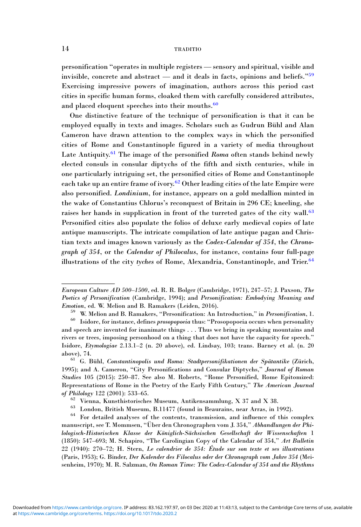personification "operates in multiple registers — sensory and spiritual, visible and invisible, concrete and abstract — and it deals in facts, opinions and beliefs."<sup>59</sup> Exercising impressive powers of imagination, authors across this period cast cities in specific human forms, cloaked them with carefully considered attributes, and placed eloquent speeches into their mouths.<sup>60</sup>

One distinctive feature of the technique of personification is that it can be employed equally in texts and images. Scholars such as Gudrun Bühl and Alan Cameron have drawn attention to the complex ways in which the personified cities of Rome and Constantinople figured in a variety of media throughout Late Antiquity.<sup>61</sup> The image of the personified Roma often stands behind newly elected consuls in consular diptychs of the fifth and sixth centuries, while in one particularly intriguing set, the personified cities of Rome and Constantinople each take up an entire frame of ivory.<sup>62</sup> Other leading cities of the late Empire were also personified. Londinium, for instance, appears on a gold medallion minted in the wake of Constantius Chlorus's reconquest of Britain in 296 CE; kneeling, she raises her hands in supplication in front of the turreted gates of the city wall.<sup>63</sup> Personified cities also populate the folios of deluxe early medieval copies of late antique manuscripts. The intricate compilation of late antique pagan and Christian texts and images known variously as the Codex-Calendar of 354, the Chronograph of 354, or the Calendar of Philocalus, for instance, contains four full-page illustrations of the city tyches of Rome, Alexandria, Constantinople, and Trier.<sup>64</sup>

European Culture AD 500–1500, ed. R. R. Bolger (Cambridge, 1971), 247–57; J. Paxson, The Poetics of Personification (Cambridge, 1994); and Personification: Embodying Meaning and *Emotion*, ed. W. Melion and B. Ramakers (Leiden, 2016).<br><sup>59</sup> W. Melion and B. Ramakers, "Personification: An Introduction," in *Personification*, 1.<br><sup>60</sup> Isidore, for instance, defines *prosopopoeia* thus: "Prosopopoeia o

and speech are invented for inanimate things . . . Thus we bring in speaking mountains and rivers or trees, imposing personhood on a thing that does not have the capacity for speech." Isidore, Etymologiae 2.13.1–2 (n. 20 above), ed. Lindsay, 103; trans. Barney et al. (n. 20 above), 74. <sup>61</sup> G. Bühl, Constantinopolis und Roma: Stadtpersonifikationen der Spätantike (Zürich,

<sup>1995);</sup> and A. Cameron, "City Personifications and Consular Diptychs," Journal of Roman Studies 105 (2015): 250–87. See also M. Roberts, "Rome Personified, Rome Epitomized: Representations of Rome in the Poetry of the Early Fifth Century," The American Journal % of Philology 122 (2001): 533–65.<br>
62 Vienna, Kunsthistorisches Museum, Antikensammlung, X 37 and X 38.<br>
63 London, British Museum, B.11477 (found in Beaurains, near Arras, in 1992).<br>
64 For detailed analyses of the cont

manuscript, see T. Mommsen, "Über den Chronographen vom J. 354," Abhandlungen der Philologisch-Historischen Klasse der Königlich-Sächsischen Gesellschaft der Wissenschaften 1 (1850): 547–693; M. Schapiro, "The Carolingian Copy of the Calendar of 354," Art Bulletin 22 (1940): 270–72; H. Stern, Le calendrier de 354: Étude sur son texte et ses illustrations (Paris, 1953); G. Binder, Der Kalender des Filocalus oder der Chronograph vom Jahre 354 (Meisenheim, 1970); M. R. Salzman, On Roman Time: The Codex-Calendar of 354 and the Rhythms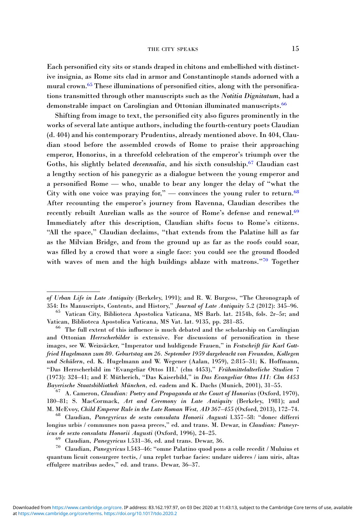#### THE CITY SPEAKS 15

Each personified city sits or stands draped in chitons and embellished with distinctive insignia, as Rome sits clad in armor and Constantinople stands adorned with a mural crown.<sup>65</sup> These illuminations of personified cities, along with the personifications transmitted through other manuscripts such as the Notitia Dignitatum, had a demonstrable impact on Carolingian and Ottonian illuminated manuscripts.<sup>66</sup>

Shifting from image to text, the personified city also figures prominently in the works of several late antique authors, including the fourth-century poets Claudian (d. 404) and his contemporary Prudentius, already mentioned above. In 404, Claudian stood before the assembled crowds of Rome to praise their approaching emperor, Honorius, in a threefold celebration of the emperor's triumph over the Goths, his slightly belated *decennalia*, and his sixth consulship.<sup>67</sup> Claudian cast a lengthy section of his panegyric as a dialogue between the young emperor and a personified Rome — who, unable to bear any longer the delay of "what the City with one voice was praying for," — convinces the young ruler to return.<sup>68</sup> After recounting the emperor's journey from Ravenna, Claudian describes the recently rebuilt Aurelian walls as the source of Rome's defense and renewal.<sup>69</sup> Immediately after this description, Claudian shifts focus to Rome's citizens. "All the space," Claudian declaims, "that extends from the Palatine hill as far as the Milvian Bridge, and from the ground up as far as the roofs could soar, was filled by a crowd that wore a single face: you could see the ground flooded with waves of men and the high buildings ablaze with matrons."70 Together

of Urban Life in Late Antiquity (Berkeley, 1991); and R. W. Burgess, "The Chronograph of 354: Its Manuscripts, Contents, and History," *Journal of Late Antiquity* 5.2 (2012): 345–96.<br><sup>65</sup> Vatican City, Biblioteca Apostolica Vaticana, MS Barb. lat. 2154b, fols. 2r–5r; and

Vatican, Biblioteca Apostolica Vaticana, MS Vat. lat. 9135, pp. 281–85. <sup>66</sup> The full extent of this influence is much debated and the scholarship on Carolingian

and Ottonian Herrscherbilder is extensive. For discussions of personification in these images, see W. Weizsäcker, "Imperator und huldigende Frauen," in Festschrift für Karl Gottfried Hugelmann zum 80. Geburtstag am 26. September 1959 dargebracht von Freunden, Kollegen und Schülern, ed. K. Hugelmann and W. Wegener (Aalan, 1959), 2:815–31; K. Hoffmann, "Das Herrscherbild im 'Evangeliar Ottos III.' (clm 4453)," Frühmittelalterliche Studien 7 (1973): 324–41; and F. Mütherich, "Das Kaiserbild," in Das Evangeliar Ottos III: Clm 4453 Bayerische Staatsbibliothek München, ed. eadem and K. Dachs (Munich, 2001), 31–55.<br><sup>67</sup> A. Cameron, *Claudian: Poetry and Propaganda at the Court of Honorius* (Oxford, 1970),

<sup>180</sup>–81; S. MacCormack, Art and Ceremony in Late Antiquity (Berkeley, 1981); and

M. McEvoy, Child Emperor Rule in the Late Roman West, AD 367–455 (Oxford, 2013), 172–74.<br><sup>68</sup> Claudian, *Panegyricus de sexto consulatu Honorii Augusti* 1.357–58: "donec differri longius urbis / communes non passa preces," ed. and trans. M. Dewar, in Claudian: Paneyr-<br>icus de sexto consulatu Honorii Augusti (Oxford, 1996), 24–25.

<sup>&</sup>lt;sup>69</sup> Claudian, *Panegyricus* 1.531–36, ed. and trans. Dewar, 36.  $\frac{70}{70}$  Claudian, *Panegyricus* l.543–46: "omne Palatino quod pons a colle recedit / Muluius et quantum licuit consurgere tectis, / una replet turbae facies: undare uideres / iam uiris, altas effulgere matribus aedes," ed. and trans. Dewar, 36–37.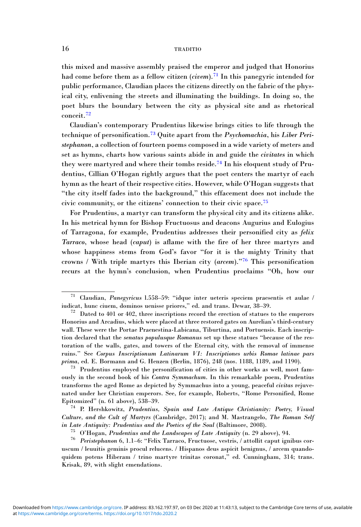this mixed and massive assembly praised the emperor and judged that Honorius had come before them as a fellow citizen (*civem*).<sup>71</sup> In this panegyric intended for public performance, Claudian places the citizens directly on the fabric of the physical city, enlivening the streets and illuminating the buildings. In doing so, the poet blurs the boundary between the city as physical site and as rhetorical conceit.<sup>72</sup>

Claudian's contemporary Prudentius likewise brings cities to life through the technique of personification.<sup>73</sup> Quite apart from the *Psychomachia*, his Liber Peristephanon, a collection of fourteen poems composed in a wide variety of meters and set as hymns, charts how various saints abide in and guide the civitates in which they were martyred and where their tombs reside.<sup>74</sup> In his eloquent study of Prudentius, Cillian O'Hogan rightly argues that the poet centers the martyr of each hymn as the heart of their respective cities. However, while O'Hogan suggests that "the city itself fades into the background," this effacement does not include the civic community, or the citizens' connection to their civic space.<sup>75</sup>

For Prudentius, a martyr can transform the physical city and its citizens alike. In his metrical hymn for Bishop Fructuosus and deacons Augurius and Eulogius of Tarragona, for example, Prudentius addresses their personified city as felix Tarraco, whose head (caput) is aflame with the fire of her three martyrs and whose happiness stems from God's favor "for it is the mighty Trinity that crowns / With triple martyrs this Iberian city (arcem)."<sup>76</sup> This personification recurs at the hymn's conclusion, when Prudentius proclaims "Oh, how our

<sup>&</sup>lt;sup>71</sup> Claudian, *Panegyricus* 1.558–59: "idque inter ueteris speciem praesentis et aulae / iudicat, hunc ciuem, dominos uenisse priores," ed. and trans. Dewar, 38–39.

 $12$  Dated to 401 or 402, three inscriptions record the erection of statues to the emperors Honorius and Arcadius, which were placed at three restored gates on Aurelian's third-century wall. These were the Portae Praenestina-Labicana, Tiburtina, and Portuensis. Each inscription declared that the senatus populusque Romanus set up these statues "because of the restoration of the walls, gates, and towers of the Eternal city, with the removal of immense ruins." See Corpus Inscriptionum Latinarum VI: Inscriptiones urbis Romae latinae pars prima, ed. E. Bormann and G. Henzen (Berlin, 1876), 248 (nos. 1188, 1189, and 1190).

 $73$  Prudentius employed the personification of cities in other works as well, most famously in the second book of his Contra Symmachum. In this remarkable poem, Prudentius transforms the aged Rome as depicted by Symmachus into a young, peaceful civitas rejuvenated under her Christian emperors. See, for example, Roberts, "Rome Personified, Rome Epitomized" (n. 61 above), 538–39.<br><sup>74</sup> P. Hershkowitz, *Prudentius, Spain and Late Antique Christianity: Poetry, Visual* 

Culture, and the Cult of Martyrs (Cambridge, 2017); and M. Mastrangelo, The Roman Self

in Late Antiquity: Prudentius and the Poetics of the Soul (Baltimore, 2008).<br><sup>75</sup> O'Hogan, Prudentius and the Landscapes of Late Antiquity (n. 29 above), 94.<br><sup>76</sup> Peristephanon 6, 1.1–6: "Felix Tarraco, Fructuose, vestris uscum / leuuitis geminis procul relucens. / Hispanos deus aspicit benignus, / arcem quandoquidem potens Hiberam / trino martyre trinitas coronat," ed. Cunningham, 314; trans. Krisak, 89, with slight emendations.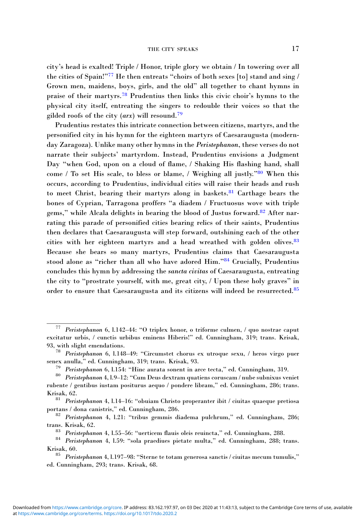city's head is exalted! Triple / Honor, triple glory we obtain / In towering over all the cities of Spain!"<sup>77</sup> He then entreats "choirs of both sexes [to] stand and sing / Grown men, maidens, boys, girls, and the old" all together to chant hymns in praise of their martyrs.<sup>78</sup> Prudentius then links this civic choir's hymns to the physical city itself, entreating the singers to redouble their voices so that the gilded roofs of the city  $(axx)$  will resound.<sup>79</sup>

Prudentius restates this intricate connection between citizens, martyrs, and the personified city in his hymn for the eighteen martyrs of Caesaraugusta (modernday Zaragoza). Unlike many other hymns in the Peristephanon, these verses do not narrate their subjects' martyrdom. Instead, Prudentius envisions a Judgment Day "when God, upon on a cloud of flame, / Shaking His flashing hand, shall come / To set His scale, to bless or blame, / Weighing all justly."<sup>80</sup> When this occurs, according to Prudentius, individual cities will raise their heads and rush to meet Christ, bearing their martyrs along in baskets.<sup>81</sup> Carthage bears the bones of Cyprian, Tarragona proffers "a diadem / Fructuosus wove with triple gems," while Alcala delights in bearing the blood of Justus forward.<sup>82</sup> After narrating this parade of personified cities bearing relics of their saints, Prudentius then declares that Caesaraugusta will step forward, outshining each of the other cities with her eighteen martyrs and a head wreathed with golden olives.<sup>83</sup> Because she bears so many martyrs, Prudentius claims that Caesaraugusta stood alone as "richer than all who have adored Him."<sup>84</sup> Crucially, Prudentius concludes this hymn by addressing the sancta civitas of Caesaraugusta, entreating the city to "prostrate yourself, with me, great city, / Upon these holy graves" in order to ensure that Caesaraugusta and its citizens will indeed be resurrected.<sup>85</sup>

<sup>77</sup> Peristephanon 6, l.142–44: "O triplex honor, o triforme culmen, / quo nostrae caput excitatur urbis, / cunctis urbibus eminens Hiberis!" ed. Cunningham, 319; trans. Krisak,

<sup>93,</sup> with slight emendations.<br><sup>78</sup> Peristephanon 6, l.148–49: "Circumstet chorus ex utroque sexu, / heros virgo puer senex anulla," ed. Cunningham, 319; trans. Krisak, 93.

<sup>&</sup>lt;sup>79</sup> Peristephanon 6, 1.154: "Hinc aurata sonent in arce tecta," ed. Cunningham, 319.<br><sup>80</sup> Peristephanon 4, 1.9–12: "Cum Deus dextram quatiens coruscam / nube subnixus veniet rubente / gentibus iustam positurus aequo / pondere libram," ed. Cunningham, 286; trans. Krisak, 62.<br><sup>81</sup> Peristephanon 4, l.14–16: "obuiam Christo properanter ibit / ciuitas quaeque pretiosa

portans / dona canistris," ed. Cunningham, 286.<br><sup>82</sup> Peristephanon 4, l.21: "tribus gemmis diadema pulchrum," ed. Cunningham, 286;

trans. Krisak, 62.<br><sup>83</sup> Peri*stephanon* 4, l.55–56: "uerticem flauis oleis reuincta," ed. Cunningham, 288.<br><sup>84</sup> Peri*stephanon* 4, l.59: "sola praediues pietate multa," ed. Cunningham, 288; trans.

Krisak, 60.<br><sup>85</sup> *Peristephanon* 4, l.197–98: "Sterne te totam generosa sanctis / ciuitas mecum tumulis,"

ed. Cunningham, 293; trans. Krisak, 68.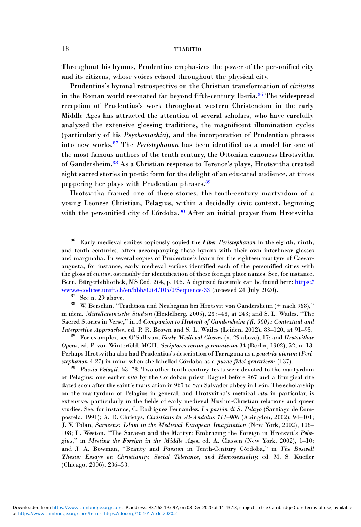Throughout his hymns, Prudentius emphasizes the power of the personified city and its citizens, whose voices echoed throughout the physical city.

Prudentius's hymnal retrospective on the Christian transformation of civitates in the Roman world resonated far beyond fifth-century Iberia.<sup>86</sup> The widespread reception of Prudentius's work throughout western Christendom in the early Middle Ages has attracted the attention of several scholars, who have carefully analyzed the extensive glossing traditions, the magnificent illumination cycles (particularly of his Psychomachia), and the incorporation of Prudentian phrases into new works.<sup>87</sup> The Peristephanon has been identified as a model for one of the most famous authors of the tenth century, the Ottonian canoness Hrotsvitha of Gandersheim.<sup>88</sup> As a Christian response to Terence's plays, Hrotsvitha created eight sacred stories in poetic form for the delight of an educated audience, at times peppering her plays with Prudentian phrases.<sup>89</sup>

Hrotsvitha framed one of these stories, the tenth-century martyrdom of a young Leonese Christian, Pelagius, within a decidedly civic context, beginning with the personified city of Córdoba.<sup>90</sup> After an initial prayer from Hrotsvitha

Interpretive Approaches, ed. P. R. Brown and S. L. Wailes (Leiden, 2012), 83–120, at 91–95.<br><sup>89</sup> For examples, see O'Sullivan, *Early Medieval Glosses* (n. 29 above), 17; and *Hrotsvithae* Opera, ed. P. von Winterfeld, MGH, Scriptores rerum germanicum 34 (Berlin, 1902), 52, n. 13. Perhaps Hrotsvitha also had Prudentius's description of Tarragona as a genetrix piorum (Peristephanon 4.27) in mind when she labelled Córdoba as a *purae fidei genetricem* (l.37).<br><sup>90</sup> Passio Pelagii, 63–78. Two other tenth-century texts were devoted to the martyrdom

of Pelagius: one earlier vita by the Cordoban priest Raguel before 967 and a liturgical rite dated soon after the saint's translation in 967 to San Salvador abbey in León. The scholarship on the martyrdom of Pelagius in general, and Hrotsvitha's metrical vita in particular, is extensive, particularly in the fields of early medieval Muslim-Christian relations and queer studies. See, for instance, C. Rodriguez Fernandez, La pasiòn di S. Pelayo (Santiago de Compostela, 1991); A. R. Christys, Christians in Al-Andalus 711–900 (Abingdon, 2002), 94–101; J. V. Tolan, Saracens: Islam in the Medieval European Imagination (New York, 2002), 106– 108; L. Weston, "The Saracen and the Martyr: Embracing the Foreign in Hrotsvit's Pelagius," in Meeting the Foreign in the Middle Ages, ed. A. Classen (New York, 2002), 1–10; and J. A. Bowman, "Beauty and Passion in Tenth-Century Córdoba," in The Boswell Thesis: Essays on Christianity, Social Tolerance, and Homosexuality, ed. M. S. Kuefler (Chicago, 2006), 236–53.

Early medieval scribes copiously copied the Liber Peristephanon in the eighth, ninth, and tenth centuries, often accompanying these hymns with their own interlinear glosses and marginalia. In several copies of Prudentius's hymn for the eighteen martyrs of Caesaraugusta, for instance, early medieval scribes identified each of the personified cities with the gloss of civitas, ostensibly for identification of these foreign place names. See, for instance, Bern, Bürgerbibliothek, MS Cod. 264, p. 105. A digitized facsimile can be found here: [https://](https://www.e-codices.unifr.ch/en/bbb/0264/105/0/Sequence-33)

[www.e-codices.unifr.ch/en/bbb/0264/105/0/Sequence-33](https://www.e-codices.unifr.ch/en/bbb/0264/105/0/Sequence-33) (accessed 24 July 2020).<br><sup>87</sup> See n. 29 above. 88 W. Berschin, "Tradition und Neubeginn bei Hrotsvit von Gandersheim (+ nach 968)," in idem, Mittellateinische Studien (Heidelberg, 2005), 237–48, at 243; and S. L. Wailes, "The Sacred Stories in Verse," in A Companion to Hrotsvit of Gandersheim (fl. 960): Contextual and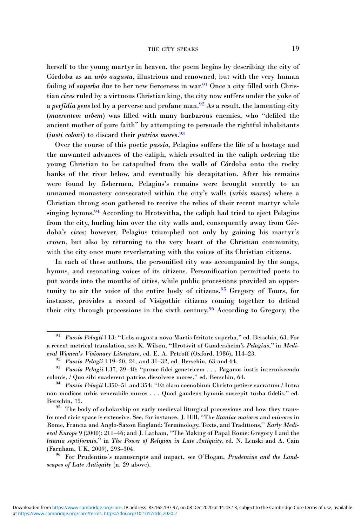herself to the young martyr in heaven, the poem begins by describing the city of Córdoba as an urbs augusta, illustrious and renowned, but with the very human failing of *superba* due to her new fierceness in war.<sup>91</sup> Once a city filled with Christian cives ruled by a virtuous Christian king, the city now suffers under the yoke of a *perfidia gens* led by a perverse and profane man.<sup>92</sup> As a result, the lamenting city (maerentem urbem) was filled with many barbarous enemies, who "defiled the ancient mother of pure faith" by attempting to persuade the rightful inhabitants (iusti coloni) to discard their patrios mores.<sup>93</sup>

Over the course of this poetic passio, Pelagius suffers the life of a hostage and the unwanted advances of the caliph, which resulted in the caliph ordering the young Christian to be catapulted from the walls of Córdoba onto the rocky banks of the river below, and eventually his decapitation. After his remains were found by fishermen, Pelagius's remains were brought secretly to an unnamed monastery consecrated within the city's walls (urbis muros) where a Christian throng soon gathered to receive the relics of their recent martyr while singing hymns.<sup>94</sup> According to Hrotsvitha, the caliph had tried to eject Pelagius from the city, hurling him over the city walls and, consequently away from Córdoba's cives; however, Pelagius triumphed not only by gaining his martyr's crown, but also by returning to the very heart of the Christian community, with the city once more reverberating with the voices of its Christian citizens.

In each of these authors, the personified city was accompanied by the songs, hymns, and resonating voices of its citizens. Personification permitted poets to put words into the mouths of cities, while public processions provided an opportunity to air the voice of the entire body of citizens.<sup>95</sup> Gregory of Tours, for instance, provides a record of Visigothic citizens coming together to defend their city through processions in the sixth century.<sup>96</sup> According to Gregory, the

Passio Pelagii l.13: "Urbs augusta nova Martis feritate superba," ed. Berschin, 63. For a recent metrical translation, see K. Wilson, "Hrotsvit of Gandersheim's Pelagius," in Medi-<br>eval Women's Visionary Literature, ed. E. A. Petroff (Oxford, 1986), 114–23.

<sup>&</sup>lt;sup>92</sup> Passio Pelagii 1.19–20, 24, and 31–32, ed. Berschin, 63 and 64.<br><sup>93</sup> Passio Pelagii 1.37, 39–40: "purae fidei genetricem . . . Paganos iustis intermiscendo colonis. / Ouo sibi suaderent patrios dissolvere mores." ed.

<sup>&</sup>lt;sup>94</sup> Passio Pelagii l.350–51 and 354: "Et clam coenobium Christo petiere sacratum / Intra non modicos urbis venerabile muros . . . Quod gaudens hymnis suscepit turba fidelis," ed. Berschin, 75.<br><sup>95</sup> The body of scholarship on early medieval liturgical processions and how they trans-

formed civic space is extensive. See, for instance, J. Hill, "The litaniae maiores and minores in Rome, Francia and Anglo-Saxon England: Terminology, Texts, and Traditions," Early Medieval Europe 9 (2000): 211–46; and J. Latham, "The Making of Papal Rome: Gregory I and the letania septiformis," in The Power of Religion in Late Antiquity, ed. N. Lenski and A. Cain (Farnham, UK, 2009), 293–304.<br><sup>96</sup> For Prudentius's manuscripts and impact, see O'Hogan, *Prudentius and the Land-*

scapes of Late Antiquity (n. 29 above).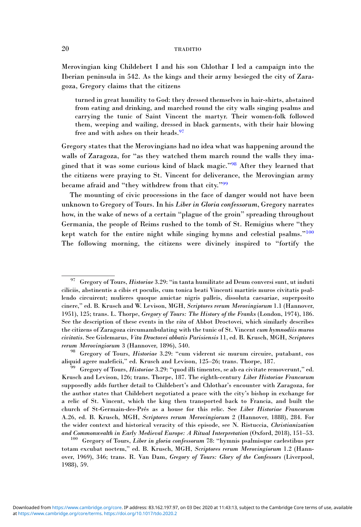Merovingian king Childebert I and his son Chlothar I led a campaign into the Iberian peninsula in 542. As the kings and their army besieged the city of Zaragoza, Gregory claims that the citizens

turned in great humility to God: they dressed themselves in hair-shirts, abstained from eating and drinking, and marched round the city walls singing psalms and carrying the tunic of Saint Vincent the martyr. Their women-folk followed them, weeping and wailing, dressed in black garments, with their hair blowing free and with ashes on their heads.<sup>97</sup>

Gregory states that the Merovingians had no idea what was happening around the walls of Zaragoza, for "as they watched them march round the walls they imagined that it was some curious kind of black magic."<sup>98</sup> After they learned that the citizens were praying to St. Vincent for deliverance, the Merovingian army became afraid and "they withdrew from that city."<sup>99</sup>

The mounting of civic processions in the face of danger would not have been unknown to Gregory of Tours. In his Liber in Gloria confessorum, Gregory narrates how, in the wake of news of a certain "plague of the groin" spreading throughout Germania, the people of Reims rushed to the tomb of St. Remigius where "they kept watch for the entire night while singing hymns and celestial psalms."<sup>100</sup> The following morning, the citizens were divinely inspired to "fortify the

 $^{97}$  Gregory of Tours, Historiae 3.29: "in tanta humilitate ad Deum conversi sunt, ut induti ciliciis, abstinentis a cibis et poculis, cum tonica beati Vincenti martiris muros civitatis psallendo circuirent; mulieres quoque amictae nigris palleis, dissoluta caesariae, superposito cinere," ed. B. Krusch and W. Levison, MGH, Scriptores rerum Merovingiorum 1.1 (Hannover, 1951), 125; trans. L. Thorpe, Gregory of Tours: The History of the Franks (London, 1974), 186. See the description of these events in the vita of Abbot Droctovei, which similarly describes the citizens of Zaragoza circumambulating with the tunic of St. Vincent cum hymnodiis muros civitatis. See Gislemarus, Vita Droctovei abbatis Parisiensis 11, ed. B. Krusch, MGH, Scriptores

rerum Merovingiorum 3 (Hannover, 1896), 540.<br><sup>98</sup> Gregory of Tours, *Historiae* 3.29: "cum viderent sic murum circuire, putabant, eos<br>aliquid agere maleficii," ed. Krusch and Levison, 125–26; trans. Thorpe, 187.

 $39$  Gregory of Tours, Historiae 3.29: "quod illi timentes, se ab ea civitate removerunt," ed. Krusch and Levison, 126; trans. Thorpe, 187. The eighth-century Liber Historiae Francorum supposedly adds further detail to Childebert's and Chlothar's encounter with Zaragoza, for the author states that Childebert negotiated a peace with the city's bishop in exchange for a relic of St. Vincent, which the king then transported back to Francia, and built the church of St-Germain-des-Prés as a house for this relic. See Liber Historiae Francorum A.26, ed. B. Krusch, MGH, Scriptores rerum Merovingiorum 2 (Hannover, 1888), 284. For the wider context and historical veracity of this episode, see N. Ristuccia, Christianization and Commonwealth in Early Medieval Europe: A Ritual Interpretation (Oxford, 2018), 151–53.<br><sup>100</sup> Gregory of Tours, Liber in gloria confessorum 78: "hymnis psalmisque caelestibus per

totam excubat noctem," ed. B. Krusch, MGH, Scriptores rerum Merovingiorum 1.2 (Hannover, 1969), 346; trans. R. Van Dam, Gregory of Tours: Glory of the Confessors (Liverpool, 1988), 59.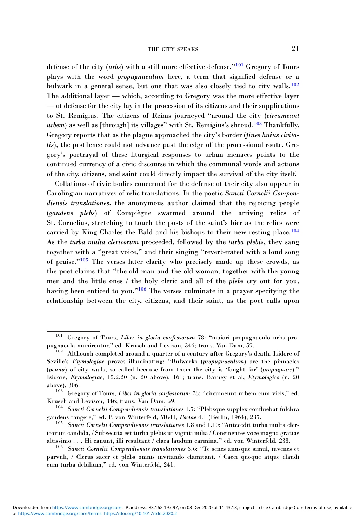defense of the city (urbs) with a still more effective defense."<sup>101</sup> Gregory of Tours plays with the word propugnaculum here, a term that signified defense or a bulwark in a general sense, but one that was also closely tied to city walls.<sup>102</sup> The additional layer — which, according to Gregory was the more effective layer — of defense for the city lay in the procession of its citizens and their supplications to St. Remigius. The citizens of Reims journeyed "around the city (circumeunt urbem) as well as [through] its villages" with St. Remigius's shroud.<sup>103</sup> Thankfully, Gregory reports that as the plague approached the city's border (fines huius civitatis), the pestilence could not advance past the edge of the processional route. Gregory's portrayal of these liturgical responses to urban menaces points to the continued currency of a civic discourse in which the communal words and actions of the city, citizens, and saint could directly impact the survival of the city itself.

Collations of civic bodies concerned for the defense of their city also appear in Carolingian narratives of relic translations. In the poetic Sancti Cornelii Compendiensis translationes, the anonymous author claimed that the rejoicing people (gaudens plebs) of Compiègne swarmed around the arriving relics of St. Cornelius, stretching to touch the posts of the saint's bier as the relics were carried by King Charles the Bald and his bishops to their new resting place.<sup>104</sup> As the turba multa clericorum proceeded, followed by the turba plebis, they sang together with a "great voice," and their singing "reverberated with a loud song of praise."<sup>105</sup> The verses later clarify who precisely made up these crowds, as the poet claims that "the old man and the old woman, together with the young men and the little ones / the holy cleric and all of the plebs cry out for you, having been enticed to you."<sup>106</sup> The verses culminate in a prayer specifying the relationship between the city, citizens, and their saint, as the poet calls upon

<sup>101</sup> Gregory of Tours, Liber in gloria confessorum 78: "maiori propugnaculo urbs propugnacula munirentur," ed. Krusch and Levison, 346; trans. Van Dam, 59. <sup>102</sup> Although completed around a quarter of a century after Gregory's death, Isidore of

Seville's Etymologiae proves illuminating: "Bulwarks (propugnaculum) are the pinnacles (penna) of city walls, so called because from them the city is 'fought for' (propugnare)." Isidore, Etymologiae, 15.2.20 (n. 20 above), 161; trans. Barney et al, Etymologies (n. 20

above), 306.  $103$  Gregory of Tours, *Liber in gloria confessorum* 78: "circumeunt urbem cum vicis," ed.

Krusch and Levison, 346; trans. Van Dam, 59.<br><sup>104</sup> Sancti Cornelii Compendiensis translationes 1.7: "Plebsque supplex confluebat fulchra<br>gaudens tangere," ed. P. von Winterfeld, MGH, *Poetae* 4.1 (Berlin, 1964), 237.

 $^{105}$  Sancti Cornelii Compendiensis translationes 1.8 and 1.10: "Antecedit turba multa clericorum candida, / Subsecuta est turba plebis ut viginti milia / Concinentes voce magna gratias altissimo . . . Hi canunt, illi resultant / clara laudum carmina," ed. von Winterfeld, 238. <sup>106</sup> Sancti Cornelii Compendiensis translationes 3.6: "Te senes anusque simul, iuvenes et

parvuli, / Clerus sacer et plebs omnis invitando clamitant, / Caeci quoque atque claudi cum turba debilium," ed. von Winterfeld, 241.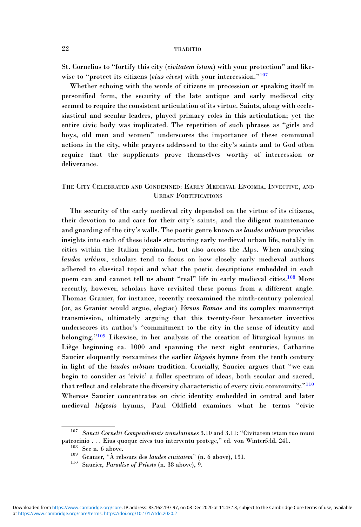St. Cornelius to "fortify this city (civitatem istam) with your protection" and likewise to "protect its citizens (eius cives) with your intercession."<sup>107</sup>

Whether echoing with the words of citizens in procession or speaking itself in personified form, the security of the late antique and early medieval city seemed to require the consistent articulation of its virtue. Saints, along with ecclesiastical and secular leaders, played primary roles in this articulation; yet the entire civic body was implicated. The repetition of such phrases as "girls and boys, old men and women" underscores the importance of these communal actions in the city, while prayers addressed to the city's saints and to God often require that the supplicants prove themselves worthy of intercession or deliverance.

# THE CITY CELEBRATED AND CONDEMNED: EARLY MEDIEVAL ENCOMIA, INVECTIVE, AND URBAN FORTIFICATIONS

The security of the early medieval city depended on the virtue of its citizens, their devotion to and care for their city's saints, and the diligent maintenance and guarding of the city's walls. The poetic genre known as laudes urbium provides insights into each of these ideals structuring early medieval urban life, notably in cities within the Italian peninsula, but also across the Alps. When analyzing laudes urbium, scholars tend to focus on how closely early medieval authors adhered to classical topoi and what the poetic descriptions embedded in each poem can and cannot tell us about "real" life in early medieval cities.<sup>108</sup> More recently, however, scholars have revisited these poems from a different angle. Thomas Granier, for instance, recently reexamined the ninth-century polemical (or, as Granier would argue, elegiac) Versus Romae and its complex manuscript transmission, ultimately arguing that this twenty-four hexameter invective underscores its author's "commitment to the city in the sense of identity and belonging."<sup>109</sup> Likewise, in her analysis of the creation of liturgical hymns in Liège beginning ca. 1000 and spanning the next eight centuries, Catharine Saucier eloquently reexamines the earlier liégeois hymns from the tenth century in light of the laudes urbium tradition. Crucially, Saucier argues that "we can begin to consider as 'civic' a fuller spectrum of ideas, both secular and sacred, that reflect and celebrate the diversity characteristic of every civic community."<sup>110</sup> Whereas Saucier concentrates on civic identity embedded in central and later medieval liégeois hymns, Paul Oldfield examines what he terms "civic

<sup>&</sup>lt;sup>107</sup> Sancti Cornelii Compendiensis translationes 3.10 and 3.11: "Civitatem istam tuo muni patrocinio . . . Eius quoque cives tuo interventu protege," ed. von Winterfeld, 241.<br><sup>109</sup> See n. 6 above. **109** Granier, "À rebours des *laudes ciuitatem*" (n. 6 above), 131.<br><sup>110</sup> Saucier, *Paradise of Priests* (n. 38 a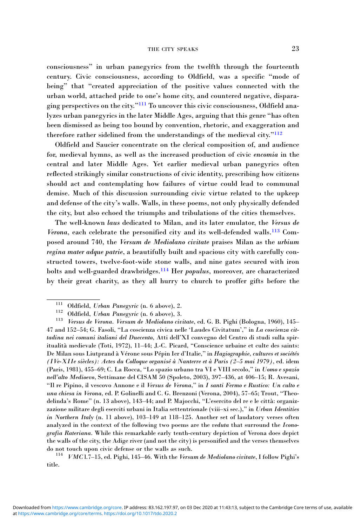#### THE CITY SPEAKS 23

consciousness" in urban panegyrics from the twelfth through the fourteenth century. Civic consciousness, according to Oldfield, was a specific "mode of being" that "created appreciation of the positive values connected with the urban world, attached pride to one's home city, and countered negative, disparaging perspectives on the city."<sup>111</sup> To uncover this civic consciousness, Oldfield analyzes urban panegyrics in the later Middle Ages, arguing that this genre "has often been dismissed as being too bound by convention, rhetoric, and exaggeration and therefore rather sidelined from the understandings of the medieval city."<sup>112</sup>

Oldfield and Saucier concentrate on the clerical composition of, and audience for, medieval hymns, as well as the increased production of civic encomia in the central and later Middle Ages. Yet earlier medieval urban panegyrics often reflected strikingly similar constructions of civic identity, prescribing how citizens should act and contemplating how failures of virtue could lead to communal demise. Much of this discussion surrounding civic virtue related to the upkeep and defense of the city's walls. Walls, in these poems, not only physically defended the city, but also echoed the triumphs and tribulations of the cities themselves.

The well-known laus dedicated to Milan, and its later emulator, the Versus de Verona, each celebrate the personified city and its well-defended walls.<sup>113</sup> Composed around 740, the Versum de Mediolano civitate praises Milan as the urbium regina mater adque patrie, a beautifully built and spacious city with carefully constructed towers, twelve-foot-wide stone walls, and nine gates secured with iron bolts and well-guarded drawbridges.<sup>114</sup> Her *populus*, moreover, are characterized by their great charity, as they all hurry to church to proffer gifts before the

<sup>&</sup>lt;sup>111</sup> Oldfield, *Urban Panegyric* (n. 6 above), 2.<br><sup>112</sup> Oldfield, *Urban Panegyric* (n. 6 above), 3.<br><sup>113</sup> *Versus de Verona. Versum de Mediolano civitate*, ed. G. B. Pighi (Bologna, 1960), 145– 47 and 152–54; G. Fasoli, "La coscienza civica nelle 'Laudes Civitatum'," in La coscienza cittadina nei comuni italiani del Duecento, Atti dell'XI convegno del Centro di studi sulla spiritualità medievale (Toti, 1972), 11–44; J.-C. Picard, "Conscience urbaine et culte des saints: De Milan sous Liutprand à Vérone sous Pépin Ier d'Italie," in Hagiographie, cultures et sociétés (IVe-XIIe siècles): Actes du Colloque organisé à Nanterre et à Paris (2–5 mai 1979), ed. idem (Paris, 1981), 455–69; C. La Rocca, "Lo spazio urbano tra VI e VIII secolo," in Uomo e spazio nell'alto Medioevo, Settimane del CISAM 50 (Spoleto, 2003), 397–436, at 406–15; R. Avesani, "Il re Pipino, il vescovo Annone e il Versus de Verona," in I santi Fermo e Rustico: Un culto e una chiesa in Verona, ed. P. Golinelli and C. G. Brenzoni (Verona, 2004), 57–65; Trout, "Theodelinda's Rome" (n. 13 above), 143–44; and P. Majocchi, "L'esercito del re e le città: organizzazione militare degli eserciti urbani in Italia settentrionale (viii–xi sec.)," in Urban Identities in Northern Italy (n. 11 above), 103–149 at 118–125. Another set of laudatory verses often analyzed in the context of the following two poems are the veduta that surround the Iconografia Rateriana. While this remarkable early tenth-century depiction of Verona does depict the walls of the city, the Adige river (and not the city) is personified and the verses themselves do not touch upon civic defense or the walls as such.<br><sup>114</sup> *VMC* l.7–15, ed. Pighi, 145–46. With the *Versum de Mediolano civitate*, I follow Pighi's

title.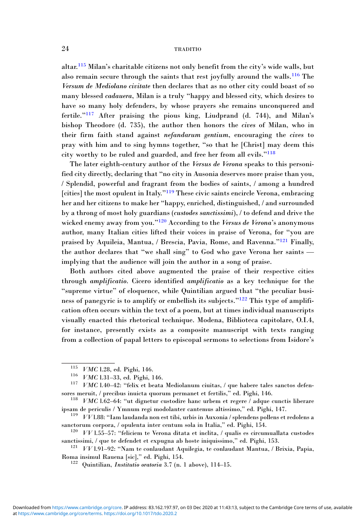altar.<sup>115</sup> Milan's charitable citizens not only benefit from the city's wide walls, but also remain secure through the saints that rest joyfully around the walls.<sup>116</sup> The Versum de Mediolano civitate then declares that as no other city could boast of so many blessed cadauera, Milan is a truly "happy and blessed city, which desires to have so many holy defenders, by whose prayers she remains unconquered and fertile."<sup>117</sup> After praising the pious king, Liudprand (d. 744), and Milan's bishop Theodore (d. 735), the author then honors the cives of Milan, who in their firm faith stand against nefandarum gentium, encouraging the cives to pray with him and to sing hymns together, "so that he [Christ] may deem this city worthy to be ruled and guarded, and free her from all evils."<sup>118</sup>

The later eighth-century author of the Versus de Verona speaks to this personified city directly, declaring that "no city in Ausonia deserves more praise than you, / Splendid, powerful and fragrant from the bodies of saints, / among a hundred [cities] the most opulent in Italy."<sup>119</sup> These civic saints encircle Verona, embracing her and her citizens to make her "happy, enriched, distinguished, / and surrounded by a throng of most holy guardians (custodes sanctissimi), / to defend and drive the wicked enemy away from you."<sup>120</sup> According to the *Versus de Verona*'s anonymous author, many Italian cities lifted their voices in praise of Verona, for "you are praised by Aquileia, Mantua, / Brescia, Pavia, Rome, and Ravenna."<sup>121</sup> Finally, the author declares that "we shall sing" to God who gave Verona her saints implying that the audience will join the author in a song of praise.

Both authors cited above augmented the praise of their respective cities through amplificatio. Cicero identified amplificatio as a key technique for the "supreme virtue" of eloquence, while Quintilian argued that "the peculiar business of panegyric is to amplify or embellish its subjects."<sup>122</sup> This type of amplification often occurs within the text of a poem, but at times individual manuscripts visually enacted this rhetorical technique. Modena, Biblioteca capitolare, O.I.4, for instance, presently exists as a composite manuscript with texts ranging from a collection of papal letters to episcopal sermons to selections from Isidore's

<sup>&</sup>lt;sup>115</sup> *VMC* l.28, ed. Pighi, 146.<br><sup>116</sup> *VMC* l.31–33, ed. Pighi, 146.<br><sup>117</sup> *VMC* l.40–42: "felix et beata Mediolanum ciuitas, / que habere tales sanctos defensores meruit, / precibus inuicta quorum permanet et fertilis," ed. Pighi, 146.<br><sup>118</sup> *VMC* l.62–64: "ut dignetur custodire hanc urbem et regere / adque cunctis liberare

ipsam de periculis / Ymnum regi modolanter cantemus altissimo," ed. Pighi, 147. <sup>119</sup> VV l.88: "Iam laudanda non est tibi, urbis in Auxonia / splendens pollens et redolens a

sanctorum corpora, / opulenta inter centum sola in Italia," ed. Pighi, 154.  $120 \quad VV 1.55-57$ : "feliciem te Verona ditata et inclita, / qualis es circumuallata custodes

sanctissimi, / que te defendet et expugna ab hoste iniquissimo," ed. Pighi, 153.  $121 \quad VV 1.91-92$ : "Nam te conlaudant Aquilegia, te conlaudant Mantua, / Brixia, Papia,

Roma insimul Rauena [sic]," ed. Pighi, 154.<br><sup>122</sup> Quintilian, *Institutio oratoria* 3.7 (n. 1 above), 114–15.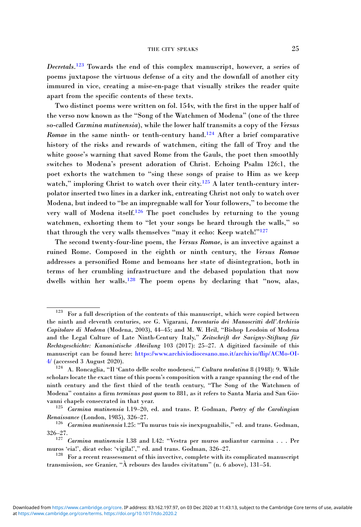Decretals.<sup>123</sup> Towards the end of this complex manuscript, however, a series of poems juxtapose the virtuous defense of a city and the downfall of another city immured in vice, creating a mise-en-page that visually strikes the reader quite apart from the specific contents of these texts.

Two distinct poems were written on fol. 154v, with the first in the upper half of the verso now known as the "Song of the Watchmen of Modena" (one of the three so-called Carmina mutinensia), while the lower half transmits a copy of the Versus Romae in the same ninth- or tenth-century hand.<sup>124</sup> After a brief comparative history of the risks and rewards of watchmen, citing the fall of Troy and the white goose's warning that saved Rome from the Gauls, the poet then smoothly switches to Modena's present adoration of Christ. Echoing Psalm 126:1, the poet exhorts the watchmen to "sing these songs of praise to Him as we keep watch," imploring Christ to watch over their city.<sup>125</sup> A later tenth-century interpolator inserted two lines in a darker ink, entreating Christ not only to watch over Modena, but indeed to "be an impregnable wall for Your followers," to become the very wall of Modena itself.<sup>126</sup> The poet concludes by returning to the young watchmen, exhorting them to "let your songs be heard through the walls," so that through the very walls themselves "may it echo: Keep watch!"<sup>127</sup>

The second twenty-four-line poem, the Versus Romae, is an invective against a ruined Rome. Composed in the eighth or ninth century, the Versus Romae addresses a personified Rome and bemoans her state of disintegration, both in terms of her crumbling infrastructure and the debased population that now dwells within her walls.<sup>128</sup> The poem opens by declaring that "now, alas,

For a full description of the contents of this manuscript, which were copied between the ninth and eleventh centuries, see G. Vigarani, Inventario dei Manoscritti dell'Archivio Capitolare di Modena (Modena, 2003), 44–45; and M. W. Heil, "Bishop Leodoin of Modena and the Legal Culture of Late Ninth-Century Italy," Zeitschrift der Savigny-Stiftung für Rechtsgeschichte: Kanonistische Abteilung 103 (2017): 25–27. A digitized facsimile of this manuscript can be found here: [https://www.archiviodiocesano.mo.it/archivio/flip/ACMo-OI-](https://www.archiviodiocesano.mo.it/archivio/flip/ACMo-OI-4/)[4/](https://www.archiviodiocesano.mo.it/archivio/flip/ACMo-OI-4/) (accessed 3 August 2020).

<sup>&</sup>lt;sup>124</sup> A. Roncaglia, "Il 'Canto delle scolte modenesi," Cultura neolatina 8 (1948): 9. While scholars locate the exact time of this poem's composition with a range spanning the end of the ninth century and the first third of the tenth century, "The Song of the Watchmen of Modena" contains a firm terminus post quem to 881, as it refers to Santa Maria and San Giovanni chapels consecrated in that year.<br><sup>125</sup> Carmina mutinensia 1.19–20, ed. and trans. P. Godman, Poetry of the Carolingian

Renaissance (London, 1985), 326–27.<br><sup>126</sup> Carmina mutinensia l.25: "Tu murus tuis sis inexpugnabilis," ed. and trans. Godman,

<sup>326</sup>–27.

<sup>127</sup> Carmina mutinensia l.38 and l.42: "Vestra per muros audiantur carmina . . . Per muros 'eia!', dicat echo: 'vigila!'," ed. and trans. Godman, 326–27. <sup>128</sup> For a recent reassessment of this invective, complete with its complicated manuscript

transmission, see Granier, "À rebours des laudes civitatum" (n. 6 above), 131–54.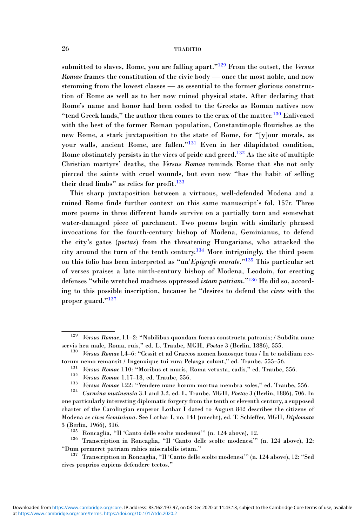submitted to slaves, Rome, you are falling apart."<sup>129</sup> From the outset, the Versus Romae frames the constitution of the civic body — once the most noble, and now stemming from the lowest classes — as essential to the former glorious construction of Rome as well as to her now ruined physical state. After declaring that Rome's name and honor had been ceded to the Greeks as Roman natives now "tend Greek lands," the author then comes to the crux of the matter.<sup>130</sup> Enlivened with the best of the former Roman population, Constantinople flourishes as the new Rome, a stark juxtaposition to the state of Rome, for "[y]our morals, as your walls, ancient Rome, are fallen."<sup>131</sup> Even in her dilapidated condition, Rome obstinately persists in the vices of pride and greed.<sup>132</sup> As the site of multiple Christian martyrs' deaths, the Versus Romae reminds Rome that she not only pierced the saints with cruel wounds, but even now "has the habit of selling their dead limbs" as relics for profit.<sup>133</sup>

This sharp juxtaposition between a virtuous, well-defended Modena and a ruined Rome finds further context on this same manuscript's fol. 157r. Three more poems in three different hands survive on a partially torn and somewhat water-damaged piece of parchment. Two poems begin with similarly phrased invocations for the fourth-century bishop of Modena, Geminianus, to defend the city's gates (portas) from the threatening Hungarians, who attacked the city around the turn of the tenth century.<sup>134</sup> More intriguingly, the third poem on this folio has been interpreted as "un'Epigrafe murale."<sup>135</sup> This particular set of verses praises a late ninth-century bishop of Modena, Leodoin, for erecting defenses "while wretched madness oppressed istam patriam."<sup>136</sup> He did so, according to this possible inscription, because he "desires to defend the cives with the proper guard."<sup>137</sup>

<sup>129</sup> Versus Romae, l.1–2: "Nobilibus quondam fueras constructa patronis; / Subdita nunc servis heu male, Roma, ruis," ed. L. Traube, MGH, Poetae 3 (Berlin, 1886), 555.<br><sup>130</sup> Versus Romae l.4–6: "Cessit et ad Graecos nomen honosque tuus / In te nobilium rec-

torum nemo remansit / Ingenuique tui rura Pelasga colunt," ed. Traube, 555–56.<br>
<sup>131</sup> *Versus Romae* 1.10: "Moribus et muris, Roma vetusta, cadis," ed. Traube, 556.<br>
<sup>132</sup> *Versus Romae* 1.17–18, ed. Traube, 556.<br>
<sup>133</sup> *V* 

one particularly interesting diplomatic forgery from the tenth or eleventh century, a supposed charter of the Carolingian emperor Lothar I dated to August 842 describes the citizens of Modena as cives Geminiana. See Lothar I, no. 141 (unecht), ed. T. Schieffer, MGH, Diplomata 3 (Berlin, 1966), 316. <sup>135</sup> Roncaglia, "Il 'Canto delle scolte modenesi'" (n. 124 above), 12. <sup>136</sup> Transcription in Roncaglia, "Il 'Canto delle scolte modenesi'" (n. 124 above), 12:

<sup>&</sup>quot;Dum premeret patriam rabies miserabilis istam." <sup>137</sup> Transcription in Roncaglia, "Il 'Canto delle scolte modenesi'" (n. 124 above), 12: "Sed

cives proprios cupiens defendere tectos."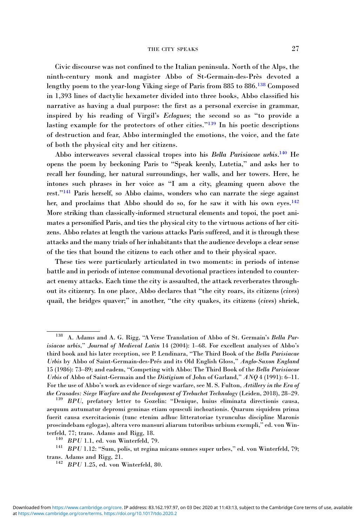#### THE CITY SPEAKS 27

Civic discourse was not confined to the Italian peninsula. North of the Alps, the ninth-century monk and magister Abbo of St-Germain-des-Près devoted a lengthy poem to the year-long Viking siege of Paris from 885 to 886.<sup>138</sup> Composed in 1,393 lines of dactylic hexameter divided into three books, Abbo classified his narrative as having a dual purpose: the first as a personal exercise in grammar, inspired by his reading of Virgil's Eclogues; the second so as "to provide a lasting example for the protectors of other cities."<sup>139</sup> In his poetic descriptions of destruction and fear, Abbo intermingled the emotions, the voice, and the fate of both the physical city and her citizens.

Abbo interweaves several classical tropes into his Bella Parisiacae urbis.<sup>140</sup> He opens the poem by beckoning Paris to "Speak keenly, Lutetia," and asks her to recall her founding, her natural surroundings, her walls, and her towers. Here, he intones such phrases in her voice as "I am a city, gleaming queen above the rest."<sup>141</sup> Paris herself, so Abbo claims, wonders who can narrate the siege against her, and proclaims that Abbo should do so, for he saw it with his own eyes.<sup>142</sup> More striking than classically-informed structural elements and topoi, the poet animates a personified Paris, and ties the physical city to the virtuous actions of her citizens. Abbo relates at length the various attacks Paris suffered, and it is through these attacks and the many trials of her inhabitants that the audience develops a clear sense of the ties that bound the citizens to each other and to their physical space.

These ties were particularly articulated in two moments: in periods of intense battle and in periods of intense communal devotional practices intended to counteract enemy attacks. Each time the city is assaulted, the attack reverberates throughout its citizenry. In one place, Abbo declares that "the city roars, its citizens (cives) quail, the bridges quaver;" in another, "the city quakes, its citizens (cives) shriek,

A. Adams and A. G. Rigg, "A Verse Translation of Abbo of St. Germain's Bella Parisiacae urbis," Journal of Medieval Latin 14 (2004): 1–68. For excellent analyses of Abbo's third book and his later reception, see P. Lendinara, "The Third Book of the Bella Parisiacae Urbis by Abbo of Saint-Germain-des-Prés and its Old English Gloss," Anglo-Saxon England 15 (1986): 73–89; and eadem, "Competing with Abbo: The Third Book of the Bella Parisiacae Urbis of Abbo of Saint-Germain and the Distigium of John of Garland,"  $ANO 4$  (1991): 6–11. For the use of Abbo's work as evidence of siege warfare, see M. S. Fulton, Artillery in the Era of the Crusades: Siege Warfare and the Development of Trebuchet Technology (Leiden, 2018), 28–29. <sup>139</sup> BPU, prefatory letter to Gozelin: "Denique, huius eliminata directionis causa,

aequum autumatur depromi geminas etiam opusculi inchoationis. Quarum siquidem prima fuerit causa exercitacionis (tunc etenim adhuc litteratoriae tyrunculus discipline Maronis proscindebam eglogas), altera vero mansuri aliarum tutoribus urbium exempli," ed. von Win-

terfeld, 77; trans. Adams and Rigg, 18.  $140\;\;\;\;BPU$  1.1, ed. von Winterfeld, 79.  $^{141}\;\;\;BPU$  1.12: "Sum, polis, ut regina micans omnes super urbes," ed. von Winterfeld, 79; trans. Adams and Rigg, 21.<br><sup>142</sup> BPU 1.25, ed. von Winterfeld, 80.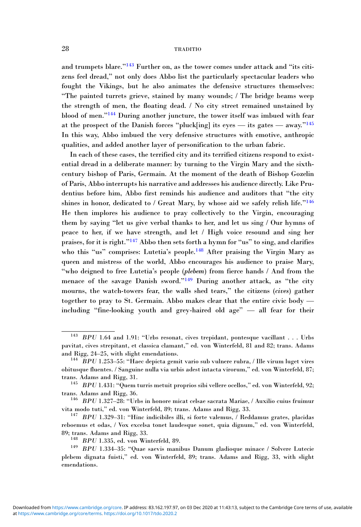and trumpets blare."<sup>143</sup> Further on, as the tower comes under attack and "its citizens feel dread," not only does Abbo list the particularly spectacular leaders who fought the Vikings, but he also animates the defensive structures themselves: "The painted turrets grieve, stained by many wounds; / The bridge beams weep the strength of men, the floating dead. / No city street remained unstained by blood of men."<sup>144</sup> During another juncture, the tower itself was imbued with fear at the prospect of the Danish forces "pluck[ing] its eyes — its gates — away." $145$ In this way, Abbo imbued the very defensive structures with emotive, anthropic qualities, and added another layer of personification to the urban fabric.

In each of these cases, the terrified city and its terrified citizens respond to existential dread in a deliberate manner: by turning to the Virgin Mary and the sixthcentury bishop of Paris, Germain. At the moment of the death of Bishop Gozelin of Paris, Abbo interrupts his narrative and addresses his audience directly. Like Prudentius before him, Abbo first reminds his audience and auditors that "the city shines in honor, dedicated to / Great Mary, by whose aid we safely relish life."<sup>146</sup> He then implores his audience to pray collectively to the Virgin, encouraging them by saying "let us give verbal thanks to her, and let us sing / Our hymns of peace to her, if we have strength, and let / High voice resound and sing her praises, for it is right."<sup>147</sup> Abbo then sets forth a hymn for "us" to sing, and clarifies who this "us" comprises: Lutetia's people.<sup>148</sup> After praising the Virgin Mary as queen and mistress of the world, Abbo encourages his audience to praise Mary, "who deigned to free Lutetia's people (plebem) from fierce hands / And from the menace of the savage Danish sword."<sup>149</sup> During another attack, as "the city mourns, the watch-towers fear, the walls shed tears," the citizens (cives) gather together to pray to St. Germain. Abbo makes clear that the entire civic body including "fine-looking youth and grey-haired old age" — all fear for their

<sup>143</sup> BPU 1.64 and 1.91: "Urbs resonat, cives trepidant, pontesque vacillant . . . Urbs pavitat, cives strepitant, et classica clamant," ed. von Winterfeld, 81 and 82; trans. Adams

 $144$ <sup>LIG</sup> BPU 1.253–55: "Haec depicta gemit vario sub vulnere rubra, / Ille virum luget vires obitusque fluentes. / Sanguine nulla via urbis adest intacta virorum," ed. von Winterfeld, 87;

 $^{145}$  BPU 1.431: "Quem turris metuit proprios sibi vellere ocellos," ed. von Winterfeld, 92; trans. Adams and Rigg, 36. <sup>146</sup> BPU 1.327–28: "Urbs in honore micat celsae sacrata Mariae, / Auxilio cuius fruimur

vita modo tuti," ed. von Winterfeld, 89; trans. Adams and Rigg, 33.<br><sup>147</sup> BPU 1.329–31: "Hinc indicibiles illi, si forte valemus, / Reddamus grates, placidas

reboemus et odas, / Vox excelsa tonet laudesque sonet, quia dignum," ed. von Winterfeld,

<sup>% 89;</sup> trans. Adams and Rigg, 33. 148 BPU 1.335, ed. von Winterfeld, 89. 149 BPU 1.334–35: "Quae saevis manibus Danum gladioque minace / Solvere Lutecie plebem dignata fuisti," ed. von Winterfeld, 89; trans. Adams and Rigg, 33, with slight emendations.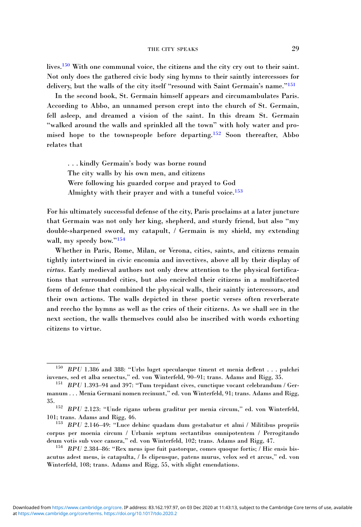lives.150 With one communal voice, the citizens and the city cry out to their saint. Not only does the gathered civic body sing hymns to their saintly intercessors for delivery, but the walls of the city itself "resound with Saint Germain's name."<sup>151</sup>

In the second book, St. Germain himself appears and circumambulates Paris. According to Abbo, an unnamed person crept into the church of St. Germain, fell asleep, and dreamed a vision of the saint. In this dream St. Germain "walked around the walls and sprinkled all the town" with holy water and promised hope to the townspeople before departing.<sup>152</sup> Soon thereafter, Abbo relates that

. . . kindly Germain's body was borne round The city walls by his own men, and citizens Were following his guarded corpse and prayed to God Almighty with their prayer and with a tuneful voice.<sup>153</sup>

For his ultimately successful defense of the city, Paris proclaims at a later juncture that Germain was not only her king, shepherd, and sturdy friend, but also "my double-sharpened sword, my catapult, / Germain is my shield, my extending wall, my speedy bow."<sup>154</sup>

Whether in Paris, Rome, Milan, or Verona, cities, saints, and citizens remain tightly intertwined in civic encomia and invectives, above all by their display of virtus. Early medieval authors not only drew attention to the physical fortifications that surrounded cities, but also encircled their citizens in a multifaceted form of defense that combined the physical walls, their saintly intercessors, and their own actions. The walls depicted in these poetic verses often reverberate and reecho the hymns as well as the cries of their citizens. As we shall see in the next section, the walls themselves could also be inscribed with words exhorting citizens to virtue.

 $150$  BPU 1.386 and 388: "Urbs luget speculaeque timent et menia deflent . . . pulchri iuvenes, sed et alba senectus." ed. von Winterfeld, 90–91; trans. Adams and Rigg. 35.

 $151$  BPU 1.393-94 and 397: "Tum trepidant cives, cunctique vocant celebrandum / Germanum . . . Menia Germani nomen recinunt," ed. von Winterfeld, 91; trans. Adams and Rigg, 35.  $152$  BPU 2.123: "Unde rigans urbem graditur per menia circum," ed. von Winterfeld,

<sup>101;</sup> trans. Adams and Rigg, 46.<br><sup>153</sup> BPU 2.146–49: "Luce dehinc quadam dum gestabatur et almi / Militibus propriis

corpus per moenia circum / Urbanis septum sectantibus omnipotentem / Perrogitando deum votis sub voce canora," ed. von Winterfeld, 102; trans. Adams and Rigg, 47.<br><sup>154</sup> BPU 2.384–86: "Rex meus ipse fuit pastorque, comes quoque fortis; / Hic ensis bis-

acutus adest meus, is catapulta, / Is clipeusque, patens murus, velox sed et arcus," ed. von Winterfeld, 108; trans. Adams and Rigg, 55, with slight emendations.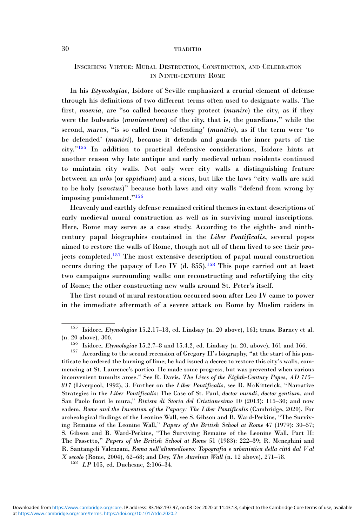# INSCRIBING VIRTUE: MURAL DESTRUCTION, CONSTRUCTION, AND CELEBRATION IN NINTH-CENTURY ROME

In his Etymologiae, Isidore of Seville emphasized a crucial element of defense through his definitions of two different terms often used to designate walls. The first, moenia, are "so called because they protect (munire) the city, as if they were the bulwarks (munimentum) of the city, that is, the guardians," while the second, murus, "is so called from 'defending' (munitio), as if the term were 'to be defended' (muniri), because it defends and guards the inner parts of the city."<sup>155</sup> In addition to practical defensive considerations, Isidore hints at another reason why late antique and early medieval urban residents continued to maintain city walls. Not only were city walls a distinguishing feature between an urbs (or oppidium) and a vicus, but like the laws "city walls are said to be holy (sanctus)" because both laws and city walls "defend from wrong by imposing punishment."<sup>156</sup>

Heavenly and earthly defense remained critical themes in extant descriptions of early medieval mural construction as well as in surviving mural inscriptions. Here, Rome may serve as a case study. According to the eighth- and ninthcentury papal biographies contained in the Liber Pontificalis, several popes aimed to restore the walls of Rome, though not all of them lived to see their projects completed.<sup>157</sup> The most extensive description of papal mural construction occurs during the papacy of Leo IV (d. 855).<sup>158</sup> This pope carried out at least two campaigns surrounding walls: one reconstructing and refortifying the city of Rome; the other constructing new walls around St. Peter's itself.

The first round of mural restoration occurred soon after Leo IV came to power in the immediate aftermath of a severe attack on Rome by Muslim raiders in

<sup>155</sup> Isidore, Etymologiae 15.2.17–18, ed. Lindsay (n. 20 above), 161; trans. Barney et al.

<sup>(</sup>n. 20 above), 306.<br>156 Isidore, Etymologiae 15.2.7–8 and 15.4.2, ed. Lindsay (n. 20, above), 161 and 166.<br>157 According to the second recension of Gregory II's biography, "at the start of his pontificate he ordered the burning of lime; he had issued a decree to restore this city's walls, commencing at St. Laurence's portico. He made some progress, but was prevented when various inconvenient tumults arose." See R. Davis, The Lives of the Eighth-Century Popes, AD 715– 817 (Liverpool, 1992), 3. Further on the Liber Pontificalis, see R. McKitterick, "Narrative Strategies in the Liber Pontificalis: The Case of St. Paul, doctor mundi, doctor gentium, and San Paolo fuori le mura," Rivista di Storia del Cristianesimo 10 (2013): 115–30; and now eadem, Rome and the Invention of the Papacy: The Liber Pontificalis (Cambridge, 2020). For archeological findings of the Leonine Wall, see S. Gibson and B. Ward-Perkins, "The Surviving Remains of the Leonine Wall," Papers of the British School at Rome 47 (1979): 30–57; S. Gibson and B. Ward-Perkins, "The Surviving Remains of the Leonine Wall, Part II: The Passetto," Papers of the British School at Rome 51 (1983): 222–39; R. Meneghini and R. Santangeli Valenzani, Roma nell'altomedioevo: Topografia e urbanistica della città dal V al *X secolo* (Rome, 2004), 62–68; and Dey, *The Aurelian Wall* (n. 12 above), 271–78. <sup>158</sup> *LP* 105, ed. Duchesne, 2:106–34.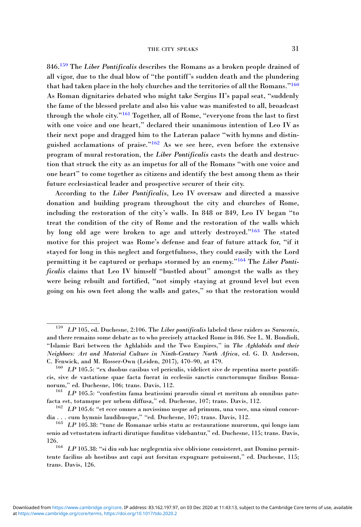846.<sup>159</sup> The Liber Pontificalis describes the Romans as a broken people drained of all vigor, due to the dual blow of "the pontiff's sudden death and the plundering that had taken place in the holy churches and the territories of all the Romans."<sup>160</sup> As Roman dignitaries debated who might take Sergius II's papal seat, "suddenly the fame of the blessed prelate and also his value was manifested to all, broadcast through the whole city."<sup>161</sup> Together, all of Rome, "everyone from the last to first with one voice and one heart," declared their unanimous intention of Leo IV as their next pope and dragged him to the Lateran palace "with hymns and distinguished acclamations of praise."<sup>162</sup> As we see here, even before the extensive program of mural restoration, the Liber Pontificalis casts the death and destruction that struck the city as an impetus for all of the Romans "with one voice and one heart" to come together as citizens and identify the best among them as their future ecclesiastical leader and prospective securer of their city.

According to the Liber Pontificalis, Leo IV oversaw and directed a massive donation and building program throughout the city and churches of Rome, including the restoration of the city's walls. In 848 or 849, Leo IV began "to treat the condition of the city of Rome and the restoration of the walls which by long old age were broken to age and utterly destroyed."<sup>163</sup> The stated motive for this project was Rome's defense and fear of future attack for, "if it stayed for long in this neglect and forgetfulness, they could easily with the Lord permitting it be captured or perhaps stormed by an enemy."<sup>164</sup> The Liber Pontificalis claims that Leo IV himself "bustled about" amongst the walls as they were being rebuilt and fortified, "not simply staying at ground level but even going on his own feet along the walls and gates," so that the restoration would

 $159$  LP 105, ed. Duchesne, 2:106. The Liber pontificalis labeled these raiders as Saracenis, and there remains some debate as to who precisely attacked Rome in 846. See L. M. Bondioli, "Islamic Bari between the Aghlabids and the Two Empires," in The Aghlabids and their Neighbors: Art and Material Culture in Ninth-Century North Africa, ed. G. D. Anderson, C. Fenwick, and M. Rosser-Own (Leiden, 2017), 470–90, at 479.<br><sup>160</sup>  $LP$  105.5: "ex duobus casibus vel periculis, videlicet sive de repentina morte pontifi-

cis, sive de vastatione quae facta fuerat in ecclesiis sanctis cunctorumque finibus Romanorum," ed. Duchesne, 106; trans. Davis, 112.<br><sup>161</sup> LP 105.5: "confestim fama beatissimi praesulis simul et meritum ab omnibus pate-

facta est, totamque per urbem diffusa," ed. Duchesne, 107; trans. Davis, 112.<br><sup>162</sup> LP 105.6: "et ecce omnes a novissimo usque ad primum, una voce, una simul concor-<br>dia . . . cum hymnis laudibusque," "ed. Duchesne, 107;

 $163$  LP 105.38: "tunc de Romanae urbis statu ac restauratione murorum, qui longo iam senio ad vetustatem infracti dirutique funditus videbantur," ed. Duchesne, 115; trans. Davis,

<sup>126.&</sup>lt;br><sup>164</sup> LP 105.38: "si diu sub hac neglegentia sive oblivione consisteret, aut Domino permittente facilius ab hostibus aut capi aut forsitan expugnare potuissent," ed. Duchesne, 115; trans. Davis, 126.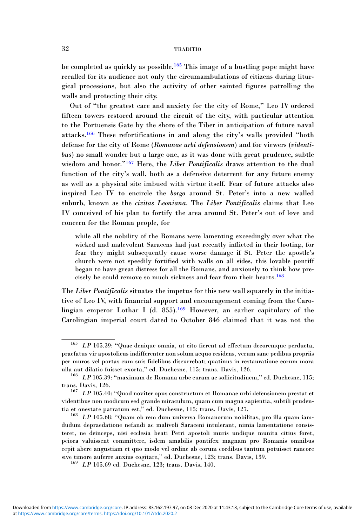be completed as quickly as possible.<sup>165</sup> This image of a bustling pope might have recalled for its audience not only the circumambulations of citizens during liturgical processions, but also the activity of other sainted figures patrolling the walls and protecting their city.

Out of "the greatest care and anxiety for the city of Rome," Leo IV ordered fifteen towers restored around the circuit of the city, with particular attention to the Portuensis Gate by the shore of the Tiber in anticipation of future naval attacks.<sup>166</sup> These refortifications in and along the city's walls provided "both defense for the city of Rome (Romanae urbi defensionem) and for viewers (videntibus) no small wonder but a large one, as it was done with great prudence, subtle wisdom and honor."<sup>167</sup> Here, the Liber Pontificalis draws attention to the dual function of the city's wall, both as a defensive deterrent for any future enemy as well as a physical site imbued with virtue itself. Fear of future attacks also inspired Leo IV to encircle the borgo around St. Peter's into a new walled suburb, known as the civitas Leoniana. The Liber Pontificalis claims that Leo IV conceived of his plan to fortify the area around St. Peter's out of love and concern for the Roman people, for

while all the nobility of the Romans were lamenting exceedingly over what the wicked and malevolent Saracens had just recently inflicted in their looting, for fear they might subsequently cause worse damage if St. Peter the apostle's church were not speedily fortified with walls on all sides, this lovable pontiff began to have great distress for all the Romans, and anxiously to think how precisely he could remove so much sickness and fear from their hearts.<sup>168</sup>

The Liber Pontificalis situates the impetus for this new wall squarely in the initiative of Leo IV, with financial support and encouragement coming from the Carolingian emperor Lothar I (d. 855).<sup>169</sup> However, an earlier capitulary of the Carolingian imperial court dated to October 846 claimed that it was not the

<sup>&</sup>lt;sup>165</sup> LP 105.39: "Quae denique omnia, ut cito fierent ad effectum decoremque perducta, praefatus vir apostolicus indifferenter non solum aequo residens, verum sane pedibus propriis per muros vel portas cum suis fidelibus discurrebat; quatinus in restauratione eorum mora

 $166$  LP 105.39: "maximam de Romana urbe curam ac sollicitudinem," ed. Duchesne, 115;

trans. Davis, 126. 167 LP 105.40: "Quod noviter opus constructum et Romanae urbi defensionem prestat et videntibus non modicum sed grande miraculum, quam cum magna sapientia, subtili prudentia et onestate patratum est," ed. Duchesne, 115; trans. Davis, 127.<br><sup>168</sup> LP 105.68: "Quam ob rem dum universa Romanorum nobilitas, pro illa quam iam-

dudum depraedatione nefandi ac malivoli Saraceni intulerant, nimia lamentatione consisteret, ne deinceps, nisi ecclesia beati Petri apostoli muris undique munita citius foret, peiora valuissent committere, isdem amabilis pontifex magnam pro Romanis omnibus cepit abere angustiam et quo modo vel ordine ab eorum cordibus tantum potuisset rancore sive timore auferre anxius cogitare," ed. Duchesne, 123; trans. Davis, 139. 169 LP 105.69 ed. Duchesne, 123; trans. Davis, 140.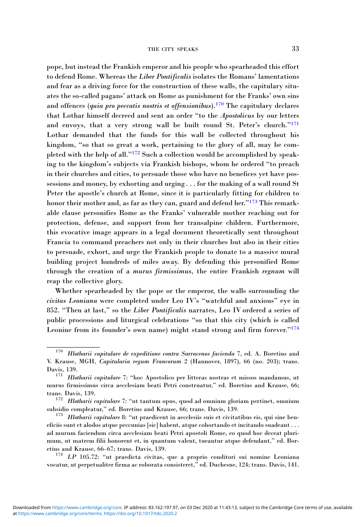pope, but instead the Frankish emperor and his people who spearheaded this effort to defend Rome. Whereas the Liber Pontificalis isolates the Romans' lamentations and fear as a driving force for the construction of these walls, the capitulary situates the so-called pagans' attack on Rome as punishment for the Franks' own sins and offences (quia pro peccatis nostris et offensionibus).<sup>170</sup> The capitulary declares that Lothar himself decreed and sent an order "to the Apostolicus by our letters and envoys, that a very strong wall be built round St. Peter's church."<sup>171</sup> Lothar demanded that the funds for this wall be collected throughout his kingdom, "so that so great a work, pertaining to the glory of all, may be completed with the help of all."<sup>172</sup> Such a collection would be accomplished by speaking to the kingdom's subjects via Frankish bishops, whom he ordered "to preach in their churches and cities, to persuade those who have no benefices yet have possessions and money, by exhorting and urging . . . for the making of a wall round St Peter the apostle's church at Rome, since it is particularly fitting for children to honor their mother and, as far as they can, guard and defend her."<sup>173</sup> This remarkable clause personifies Rome as the Franks' vulnerable mother reaching out for protection, defense, and support from her transalpine children. Furthermore, this evocative image appears in a legal document theoretically sent throughout Francia to command preachers not only in their churches but also in their cities to persuade, exhort, and urge the Frankish people to donate to a massive mural building project hundreds of miles away. By defending this personified Rome through the creation of a murus firmissimus, the entire Frankish regnum will reap the collective glory.

Whether spearheaded by the pope or the emperor, the walls surrounding the civitas Leoniana were completed under Leo IV's "watchful and anxious" eye in 852. "Then at last," so the Liber Pontificalis narrates, Leo IV ordered a series of public processions and liturgical celebrations "so that this city (which is called Leonine from its founder's own name) might stand strong and firm forever."<sup>174</sup>

 $170$  Hlotharii capitulare de expeditione contra Sarracenos facienda 7, ed. A. Boretius and V. Krause, MGH, Capitularia regum Francorum 2 (Hannover, 1897), 66 (no. 203); trans. Davis, 139.<br><sup>171</sup> *Hlotharii capitulare* 7: "hoc Apostolico per litteras nostras et missos mandamus, ut

murus firmissimus circa aecclesiam beati Petri construatur," ed. Boretius and Krause, 66; trans. Davis, 139. 172 Hlotharii capitulare 7: "ut tantum opus, quod ad omnium gloriam pertinet, omnium transmi

subsidio compleatur," ed. Boretius and Krause, 66; trans. Davis, 139.<br><sup>173</sup> Hlotharii capitulare 8: "ut praedicent in aecclesiis suis et civitatibus eis, qui sine ben-

eficiis sunt et alodos atque peccunias [sic] habent, atque cohortando et incitando suadeant . . . ad murum faciendum circa aecclesiam beati Petri apostoli Rome, eo quod hoc deceat plurimum, ut matrem filii honorent et, in quantum valent, tueantur atque defendant," ed. Boretius and Krause, 66–67; trans. Davis, 139.<br><sup>174</sup> LP 105.72: "ut praedicta civitas, que a proprio conditori sui nomine Leoniana

vocatur, ut perpetualiter firma ac roborata consisteret," ed. Duchesne, 124; trans. Davis, 141.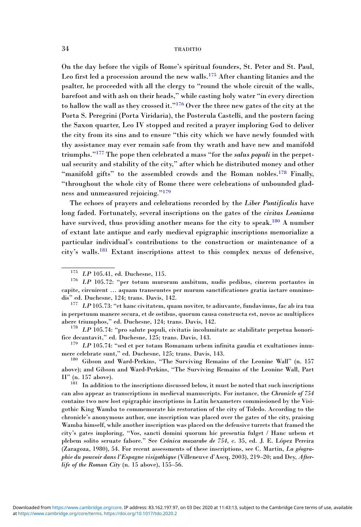On the day before the vigils of Rome's spiritual founders, St. Peter and St. Paul, Leo first led a procession around the new walls.<sup>175</sup> After chanting litanies and the psalter, he proceeded with all the clergy to "round the whole circuit of the walls, barefoot and with ash on their heads," while casting holy water "in every direction to hallow the wall as they crossed it."<sup>176</sup> Over the three new gates of the city at the Porta S. Peregrini (Porta Viridaria), the Posterula Castelli, and the postern facing the Saxon quarter, Leo IV stopped and recited a prayer imploring God to deliver the city from its sins and to ensure "this city which we have newly founded with thy assistance may ever remain safe from thy wrath and have new and manifold triumphs.<sup>"177</sup> The pope then celebrated a mass "for the *salus populi* in the perpetual security and stability of the city," after which he distributed money and other "manifold gifts" to the assembled crowds and the Roman nobles.<sup>178</sup> Finally, "throughout the whole city of Rome there were celebrations of unbounded gladness and unmeasured rejoicing."<sup>179</sup>

The echoes of prayers and celebrations recorded by the Liber Pontificalis have long faded. Fortunately, several inscriptions on the gates of the civitas Leoniana have survived, thus providing another means for the city to speak.<sup>180</sup> A number of extant late antique and early medieval epigraphic inscriptions memorialize a particular individual's contributions to the construction or maintenance of a city's walls.<sup>181</sup> Extant inscriptions attest to this complex nexus of defensive,

 $175~~LP$  105.41, ed. Duchesne, 115. 176 LP 105.72: "per totum murorum ambitum, nudis pedibus, cinerem portantes in capite, circuirent … aquam transeuntes per murum sanctificationes gratia iactare omnimodis" ed. Duchesne, 124; trans. Davis, 142.

 $177$  LP 105.73: "et hanc civitatem, quam noviter, te adiuvante, fundavimus, fac ab ira tua in perpetuum manere secura, et de ostibus, quorum causa constructa est, novos ac multiplices abere triumphos," ed. Duchesne, 124; trans. Davis, 142.<br><sup>178</sup> LP 105.74: "pro salute populi, civitatis incolumitate ac stabilitate perpetua honori-

fice decantavit," ed. Duchesne, 125; trans. Davis, 143.<br><sup>179</sup> LP 105.74: "sed et per totam Romanam urbem infinita gaudia et exultationes innu-<br>mere celebrate sunt," ed. Duchesne, 125; trans. Davis, 143.

<sup>&</sup>lt;sup>180</sup> Gibson and Ward-Perkins, "The Surviving Remains of the Leonine Wall" (n. 157 above); and Gibson and Ward-Perkins, "The Surviving Remains of the Leonine Wall, Part II" (n. 157 above).

<sup>&</sup>lt;sup>181</sup> In addition to the inscriptions discussed below, it must be noted that such inscriptions can also appear as transcriptions in medieval manuscripts. For instance, the Chronicle of 754 contains two now lost epigraphic inscriptions in Latin hexameters commissioned by the Visigothic King Wamba to commemorate his restoration of the city of Toledo. According to the chronicle's anonymous author, one inscription was placed over the gates of the city, praising Wamba himself, while another inscription was placed on the defensive turrets that framed the city's gates imploring, "Vos, sancti domini quorum hic presentia fulget / Hanc urbem et plebem solito seruate fabore." See Crónica mozarabe de 754, c. 35, ed. J. E. López Pereira (Zaragoza, 1980), 54. For recent assessments of these inscriptions, see C. Martin, La géographie du pouvoir dans l'Espagne visigothique (Villeneuve d'Ascq, 2003), 219–20; and Dey, Afterlife of the Roman City (n. 15 above), 155–56.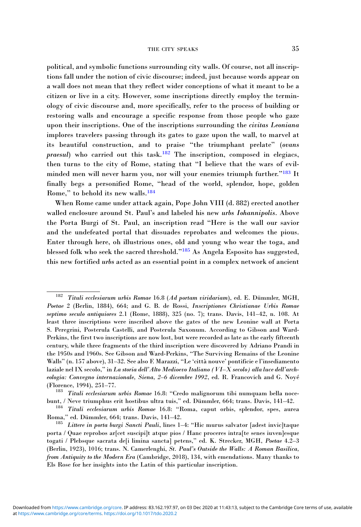political, and symbolic functions surrounding city walls. Of course, not all inscriptions fall under the notion of civic discourse; indeed, just because words appear on a wall does not mean that they reflect wider conceptions of what it meant to be a citizen or live in a city. However, some inscriptions directly employ the terminology of civic discourse and, more specifically, refer to the process of building or restoring walls and encourage a specific response from those people who gaze upon their inscriptions. One of the inscriptions surrounding the *civitas Leoniana* implores travelers passing through its gates to gaze upon the wall, to marvel at its beautiful construction, and to praise "the triumphant prelate" (ovans  $p$ raesul) who carried out this task.<sup>182</sup> The inscription, composed in elegiacs, then turns to the city of Rome, stating that "I believe that the wars of evilminded men will never harm you, nor will your enemies triumph further."<sup>183</sup> It finally begs a personified Rome, "head of the world, splendor, hope, golden Rome," to behold its new walls.<sup>184</sup>

When Rome came under attack again, Pope John VIII (d. 882) erected another walled enclosure around St. Paul's and labeled his new urbs Iohannipolis. Above the Porta Burgi of St. Paul, an inscription read "Here is the wall our savior and the undefeated portal that dissuades reprobates and welcomes the pious. Enter through here, oh illustrious ones, old and young who wear the toga, and blessed folk who seek the sacred threshold."<sup>185</sup> As Angela Esposito has suggested, this new fortified urbs acted as an essential point in a complex network of ancient

<sup>&</sup>lt;sup>182</sup> Tituli ecclesiarum urbis Romae 16.8 (Ad portam viridariam), ed. E. Dümmler, MGH, Poetae 2 (Berlin, 1884), 664; and G. B. de Rossi, Inscriptiones Christianae Urbis Romae septimo seculo antiquiores 2.1 (Rome, 1888), 325 (no. 7); trans. Davis, 141–42, n. 108. At least three inscriptions were inscribed above the gates of the new Leonine wall at Porta S. Peregrini, Posterula Castelli, and Posterula Saxonum. According to Gibson and Ward-Perkins, the first two inscriptions are now lost, but were recorded as late as the early fifteenth century, while three fragments of the third inscription were discovered by Adriano Prandi in the 1950s and 1960s. See Gibson and Ward-Perkins, "The Surviving Remains of the Leonine Walls" (n. 157 above), 31–32. See also F. Marazzi, "Le 'città nouve' pontificie e l'insediamento laziale nel IX secolo," in La storia dell'Alto Medioevo Italiano (VI–X secolo) alla luce dell'archeologia: Convegno internazionale, Siena, 2–6 dicembre 1992, ed. R. Francovich and G. Noyé (Florence, 1994), 251–77. <sup>183</sup> Tituli ecclesiarum urbis Romae 16.8: "Credo malignorum tibi numquam bella noce-

bunt, / Neve triumphus erit hostibus ultra tuis," ed. Dümmler, 664; trans. Davis, 141–42. <sup>184</sup> Tituli ecclesiarum urbis Romae 16.8: "Roma, caput orbis, splendor, spes, aurea

Roma," ed. Dümmler, 664; trans. Davis, 141–42.<br><sup>185</sup> Littere in porta burgi Sancti Pauli, lines 1–4: "Hic murus salvator [adest invic]taque

porta / Quae reprobos ar[cet suscipi]t atque pios / Hanc proceres intra[te senes iuven]esque togati / Plebsque sacrata de[i limina sancta] petens," ed. K. Strecker, MGH, Poetae 4.2-3 (Berlin, 1923), 1016; trans. N. Camerlenghi, St. Paul's Outside the Walls: A Roman Basilica, from Antiquity to the Modern Era (Cambridge, 2018), 134, with emendations. Many thanks to Els Rose for her insights into the Latin of this particular inscription.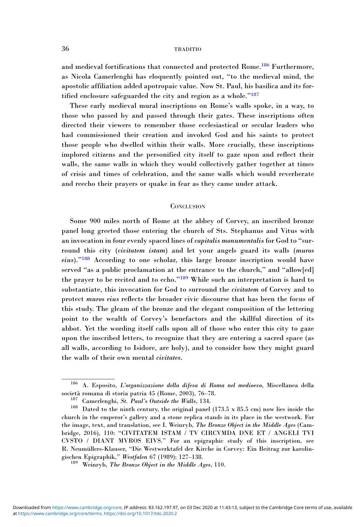and medieval fortifications that connected and protected Rome.<sup>186</sup> Furthermore, as Nicola Camerlenghi has eloquently pointed out, "to the medieval mind, the apostolic affiliation added apotropaic value. Now St. Paul, his basilica and its fortified enclosure safeguarded the city and region as a whole."<sup>187</sup>

These early medieval mural inscriptions on Rome's walls spoke, in a way, to those who passed by and passed through their gates. These inscriptions often directed their viewers to remember those ecclesiastical or secular leaders who had commissioned their creation and invoked God and his saints to protect those people who dwelled within their walls. More crucially, these inscriptions implored citizens and the personified city itself to gaze upon and reflect their walls, the same walls in which they would collectively gather together at times of crisis and times of celebration, and the same walls which would reverberate and reecho their prayers or quake in fear as they came under attack.

# **CONCLUSION**

Some 900 miles north of Rome at the abbey of Corvey, an inscribed bronze panel long greeted those entering the church of Sts. Stephanus and Vitus with an invocation in four evenly spaced lines of capitalis monumentalis for God to "surround this city (*civitatem istam*) and let your angels guard its walls (*muros* eius)."<sup>188</sup> According to one scholar, this large bronze inscription would have served "as a public proclamation at the entrance to the church," and "allow[ed] the prayer to be recited and to echo."<sup>189</sup> While such an interpretation is hard to substantiate, this invocation for God to surround the civitatem of Corvey and to protect muros eius reflects the broader civic discourse that has been the focus of this study. The gleam of the bronze and the elegant composition of the lettering point to the wealth of Corvey's benefactors and the skillful direction of its abbot. Yet the wording itself calls upon all of those who enter this city to gaze upon the inscribed letters, to recognize that they are entering a sacred space (as all walls, according to Isidore, are holy), and to consider how they might guard the walls of their own mental *civitates*.

<sup>186</sup> A. Esposito, L'organizzazione della difesa di Roma nel medioevo, Miscellanea della società romana di storia patria 45 (Rome, 2003), 76–78.<br><sup>187</sup> Camerlenghi, *St. Paul's Outside the Walls*, 134.<br><sup>188</sup> Dated to the ninth century, the original panel (173.5 x 85.5 cm) now lies inside the

church in the emperor's gallery and a stone replica stands in its place in the westwork. For the image, text, and translation, see I. Weinryb, The Bronze Object in the Middle Ages (Cambridge, 2016), 110: "CIVITATEM ISTAM / TV CIRCVMDA DNE ET / ANGELI TVI CVSTO / DIANT MVROS EIVS." For an epigraphic study of this inscription, see R. Neumüllers-Klauser, "Die Westwerktafel der Kirche in Corvey: Ein Beitrag zur karolingischen Epigraphik," Westfalen 67 (1989): 127–138.<br><sup>189</sup> Weinryb, *The Bronze Object in the Middle Ages*, 110.